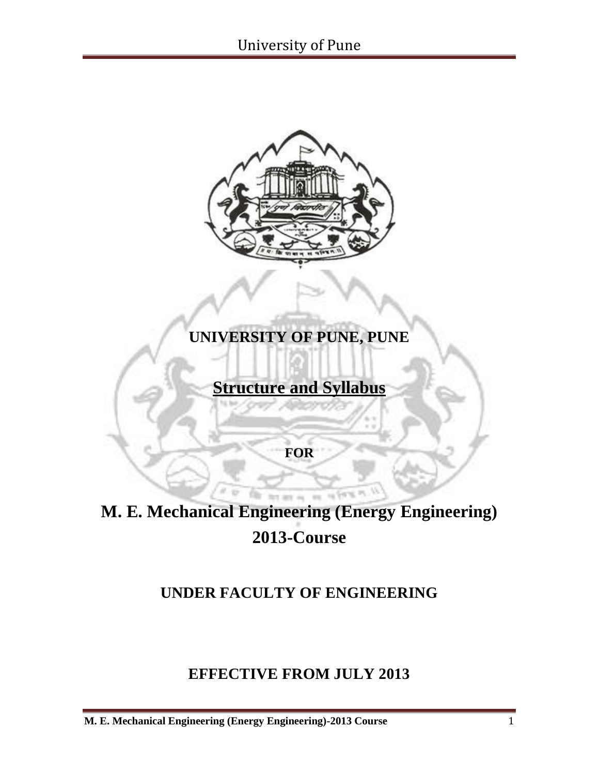

## **UNIVERSITY OF PUNE, PUNE**

## **Structure and Syllabus**

**FOR**

# **M. E. Mechanical Engineering (Energy Engineering) 2013-Course**

for my ac-

### **UNDER FACULTY OF ENGINEERING**

### **EFFECTIVE FROM JULY 2013**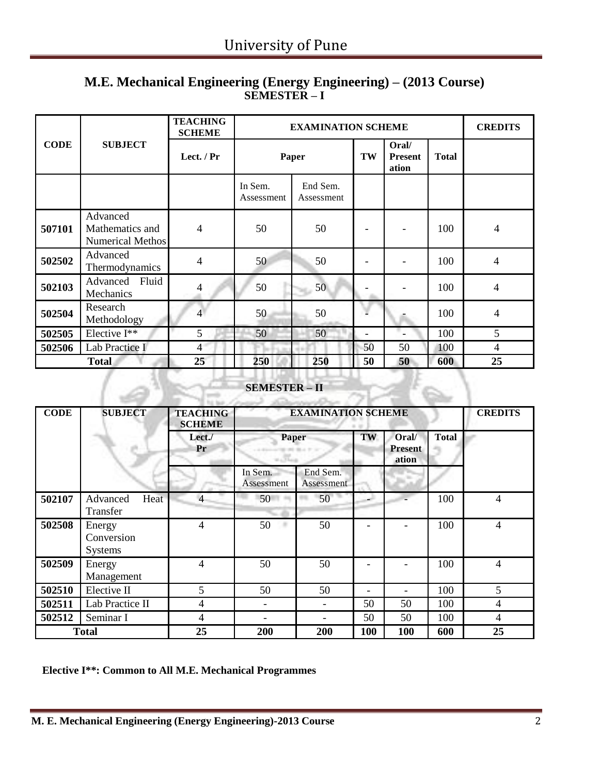#### **M.E. Mechanical Engineering (Energy Engineering) – (2013 Course) SEMESTER – I**

|             |                                                 | <b>TEACHING</b><br><b>SCHEME</b> | <b>EXAMINATION SCHEME</b> | <b>CREDITS</b>         |                                  |              |     |                          |
|-------------|-------------------------------------------------|----------------------------------|---------------------------|------------------------|----------------------------------|--------------|-----|--------------------------|
| <b>CODE</b> | <b>SUBJECT</b>                                  | Lect. / Pr                       | Paper                     | TW                     | Oral/<br><b>Present</b><br>ation | <b>Total</b> |     |                          |
|             |                                                 |                                  | In Sem.<br>Assessment     | End Sem.<br>Assessment |                                  |              |     |                          |
| 507101      | Advanced<br>Mathematics and<br>Numerical Methos | 4                                | 50                        | 50                     |                                  |              | 100 | 4                        |
| 502502      | Advanced<br>Thermodynamics                      | $\overline{4}$                   | 50                        | 50                     |                                  |              | 100 | $\overline{4}$           |
| 502103      | Advanced Fluid<br>Mechanics                     | 4                                | 50                        | 50                     |                                  |              | 100 | $\overline{\mathcal{A}}$ |
| 502504      | Research<br>Methodology                         | $\overline{4}$                   | 50                        | 50                     |                                  |              | 100 | $\overline{4}$           |
| 502505      | Elective I**                                    | 5                                | 50                        | 50                     |                                  |              | 100 | 5                        |
| 502506      | Lab Practice I                                  | $\overline{4}$                   |                           |                        | 50                               | 50           | 100 | 4                        |
|             | <b>Total</b>                                    | 25                               | 250                       | <b>250</b>             | 50                               | 50           | 600 | 25                       |

# **SEMESTER – II**

| <b>SEMESTER-II</b> |                                        |                                  |                           |                        |                          |                                  |              |                |  |  |  |  |
|--------------------|----------------------------------------|----------------------------------|---------------------------|------------------------|--------------------------|----------------------------------|--------------|----------------|--|--|--|--|
| <b>CODE</b>        | <b>SUBJECT</b>                         | <b>TEACHING</b><br><b>SCHEME</b> | <b>EXAMINATION SCHEME</b> |                        |                          |                                  |              |                |  |  |  |  |
|                    |                                        | Lect./<br>Pr                     | Paper<br>n Tue            | and at Barry           | TW                       | Oral/<br><b>Present</b><br>ation | <b>Total</b> |                |  |  |  |  |
|                    |                                        |                                  | In Sem.<br>Assessment     | End Sem.<br>Assessment |                          |                                  |              |                |  |  |  |  |
| 502107             | Advanced<br>Heat<br>Transfer           | $\overline{4}$                   | 50                        | 50                     |                          |                                  | 100          | $\overline{4}$ |  |  |  |  |
| 502508             | Energy<br>Conversion<br><b>Systems</b> | 4                                | 50                        | 50                     |                          |                                  | 100          | $\overline{4}$ |  |  |  |  |
| 502509             | Energy<br>Management                   | 4                                | 50                        | 50                     |                          |                                  | 100          | $\overline{4}$ |  |  |  |  |
| 502510             | Elective II                            | 5                                | 50                        | 50                     | $\overline{\phantom{0}}$ |                                  | 100          | 5              |  |  |  |  |
| 502511             | Lab Practice II                        | 4                                | $\overline{\phantom{0}}$  |                        | 50                       | 50                               | 100          | 4              |  |  |  |  |
| 502512             | Seminar I                              | 4                                | $\overline{\phantom{a}}$  |                        | 50                       | 50                               | 100          | 4              |  |  |  |  |
|                    | <b>Total</b>                           | 25                               | 200                       | 200                    | 100                      | 100                              | 600          | 25             |  |  |  |  |

**Elective I\*\*: Common to All M.E. Mechanical Programmes**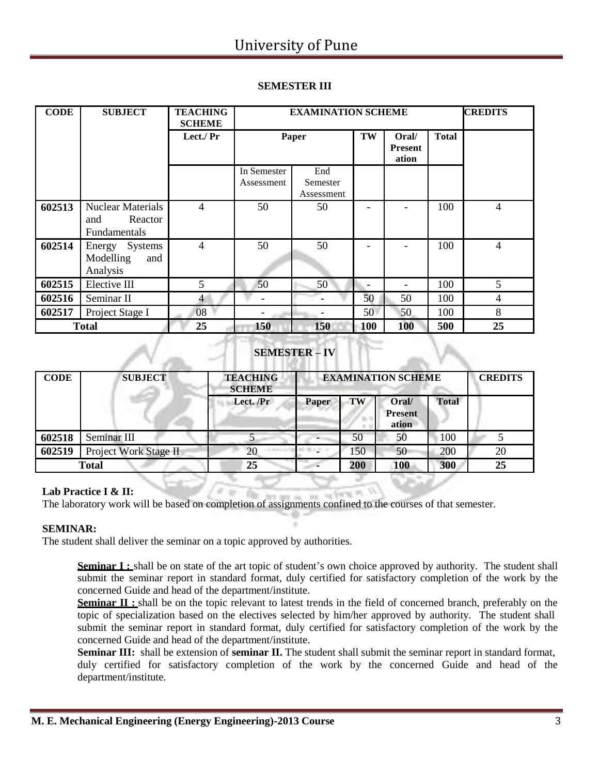| <b>CODE</b> | <b>SUBJECT</b>                                                    | <b>TEACHING</b><br><b>SCHEME</b> |                           | <b>CREDITS</b><br><b>EXAMINATION SCHEME</b> |            |                                  |              |                |
|-------------|-------------------------------------------------------------------|----------------------------------|---------------------------|---------------------------------------------|------------|----------------------------------|--------------|----------------|
|             |                                                                   | Lect./ Pr                        | Paper                     |                                             | TW         | Oral/<br><b>Present</b><br>ation | <b>Total</b> |                |
|             |                                                                   |                                  | In Semester<br>Assessment | End<br>Semester<br>Assessment               |            |                                  |              |                |
| 602513      | <b>Nuclear Materials</b><br>Reactor<br>and<br><b>Fundamentals</b> | 4                                | 50                        | 50                                          |            |                                  | 100          | $\overline{4}$ |
| 602514      | Energy Systems<br>Modelling<br>and<br>Analysis                    | 4                                | 50                        | 50                                          |            |                                  | 100          | 4              |
| 602515      | Elective III                                                      | 5                                | 50                        | 50                                          |            |                                  | 100          | 5              |
| 602516      | Seminar II                                                        | $\overline{4}$                   |                           |                                             | 50         | 50                               | 100          | 4              |
| 602517      | Project Stage I                                                   | 08                               |                           |                                             | 50         | 50                               | 100          | 8              |
|             | <b>Total</b>                                                      | 25                               | 150                       | 150                                         | <b>100</b> | 100                              | 500          | 25             |

#### **SEMESTER III**

#### **SEMESTER – IV**

| <b>CODE</b>  | <b>SUBJECT</b>        | <b>TEACHING</b><br><b>SCHEME</b> | <b>EXAMINATION SCHEME</b> | <b>CREDITS</b> |                                  |              |    |
|--------------|-----------------------|----------------------------------|---------------------------|----------------|----------------------------------|--------------|----|
|              |                       | Lect. /Pr                        | Paper                     | TW             | Oral/<br><b>Present</b><br>ation | <b>Total</b> |    |
| 602518       | Seminar III           |                                  |                           | 50             | 50                               | 100          |    |
| 602519       | Project Work Stage II | 20                               |                           | 150            | 50                               | 200          | 20 |
| <b>Total</b> |                       | 25                               |                           | 200            | <b>100</b>                       | 300          | 25 |

#### **Lab Practice I & II:**

The laboratory work will be based on completion of assignments confined to the courses of that semester.

#### **SEMINAR:**

The student shall deliver the seminar on a topic approved by authorities.

**Seminar I**: shall be on state of the art topic of student's own choice approved by authority. The student shall submit the seminar report in standard format, duly certified for satisfactory completion of the work by the concerned Guide and head of the department/institute.

**Seminar II** : shall be on the topic relevant to latest trends in the field of concerned branch, preferably on the topic of specialization based on the electives selected by him/her approved by authority. The student shall submit the seminar report in standard format, duly certified for satisfactory completion of the work by the concerned Guide and head of the department/institute.

**Seminar III:** shall be extension of **seminar II.** The student shall submit the seminar report in standard format, duly certified for satisfactory completion of the work by the concerned Guide and head of the department/institute.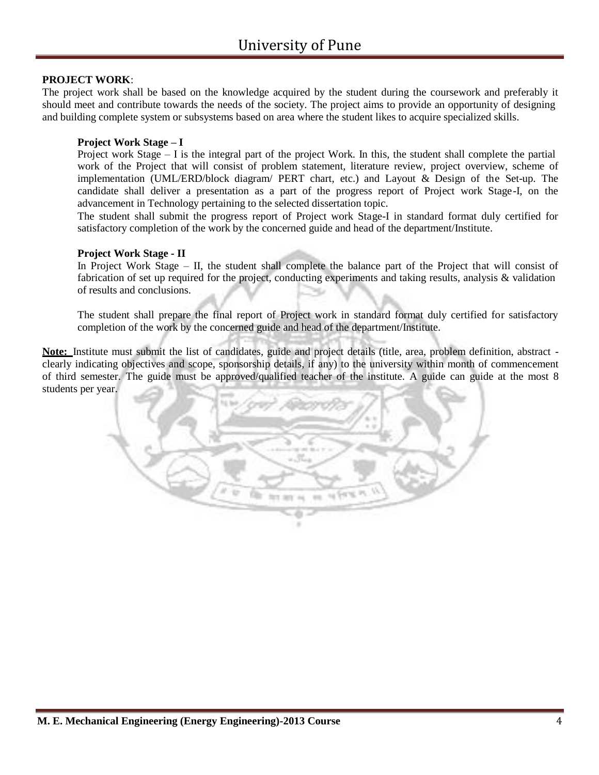#### **PROJECT WORK**:

The project work shall be based on the knowledge acquired by the student during the coursework and preferably it should meet and contribute towards the needs of the society. The project aims to provide an opportunity of designing and building complete system or subsystems based on area where the student likes to acquire specialized skills.

#### **Project Work Stage – I**

Project work Stage – I is the integral part of the project Work. In this, the student shall complete the partial work of the Project that will consist of problem statement, literature review, project overview, scheme of implementation (UML/ERD/block diagram/ PERT chart, etc.) and Layout & Design of the Set-up. The candidate shall deliver a presentation as a part of the progress report of Project work Stage-I, on the advancement in Technology pertaining to the selected dissertation topic.

The student shall submit the progress report of Project work Stage-I in standard format duly certified for satisfactory completion of the work by the concerned guide and head of the department/Institute.

#### **Project Work Stage - II**

In Project Work Stage – II, the student shall complete the balance part of the Project that will consist of fabrication of set up required for the project, conducting experiments and taking results, analysis & validation of results and conclusions.

The student shall prepare the final report of Project work in standard format duly certified for satisfactory completion of the work by the concerned guide and head of the department/Institute.

**Note:** Institute must submit the list of candidates, guide and project details (title, area, problem definition, abstract clearly indicating objectives and scope, sponsorship details, if any) to the university within month of commencement of third semester. The guide must be approved/qualified teacher of the institute. A guide can guide at the most 8 students per year.

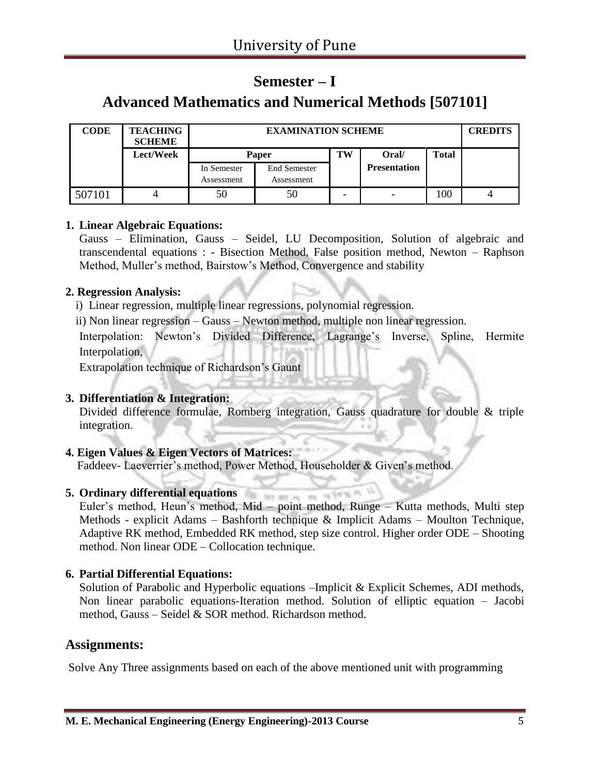### **Semester – I**

### **Advanced Mathematics and Numerical Methods [507101]**

| <b>CODE</b> | <b>TEACHING</b><br><b>SCHEME</b> |             | <b>EXAMINATION SCHEME</b>            |  |                     |     |  |  |
|-------------|----------------------------------|-------------|--------------------------------------|--|---------------------|-----|--|--|
|             | Lect/Week                        |             | TW<br>Oral/<br><b>Total</b><br>Paper |  |                     |     |  |  |
|             |                                  | In Semester | <b>End Semester</b>                  |  | <b>Presentation</b> |     |  |  |
|             |                                  | Assessment  | Assessment                           |  |                     |     |  |  |
| 507101      |                                  | 50          | 50                                   |  |                     | 100 |  |  |

#### **1. Linear Algebraic Equations:**

Gauss – Elimination, Gauss – Seidel, LU Decomposition, Solution of algebraic and transcendental equations : - Bisection Method, False position method, Newton – Raphson Method, Muller's method, Bairstow's Method, Convergence and stability

#### **2. Regression Analysis:**

i) Linear regression, multiple linear regressions, polynomial regression.

ii) Non linear regression – Gauss – Newton method, multiple non linear regression.

Interpolation: Newton's Divided Difference, Lagrange's Inverse, Spline, Hermite Interpolation,

Extrapolation technique of Richardson's Gaunt

#### **3. Differentiation & Integration:**

Divided difference formulae, Romberg integration, Gauss quadrature for double & triple integration.

#### **4. Eigen Values & Eigen Vectors of Matrices:**

Faddeev- Laeverrier's method, Power Method, Householder & Given's method.

### **5. Ordinary differential equations**

Euler's method, Heun's method, Mid – point method, Runge – Kutta methods, Multi step Methods - explicit Adams – Bashforth technique & Implicit Adams – Moulton Technique, Adaptive RK method, Embedded RK method, step size control. Higher order ODE – Shooting method. Non linear ODE – Collocation technique.

#### **6. Partial Differential Equations:**

Solution of Parabolic and Hyperbolic equations –Implicit & Explicit Schemes, ADI methods, Non linear parabolic equations-Iteration method. Solution of elliptic equation – Jacobi method, Gauss – Seidel & SOR method. Richardson method.

#### **Assignments:**

Solve Any Three assignments based on each of the above mentioned unit with programming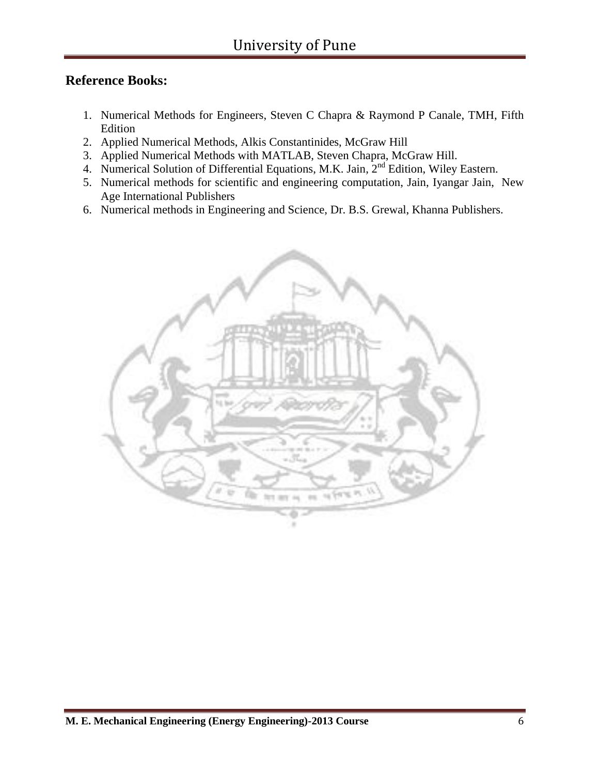### **Reference Books:**

- 1. Numerical Methods for Engineers, Steven C Chapra & Raymond P Canale, TMH, Fifth Edition
- 2. Applied Numerical Methods, Alkis Constantinides, McGraw Hill
- 3. Applied Numerical Methods with MATLAB, Steven Chapra, McGraw Hill.
- 4. Numerical Solution of Differential Equations, M.K. Jain,  $2<sup>nd</sup>$  Edition, Wiley Eastern.
- 5. Numerical methods for scientific and engineering computation, Jain, Iyangar Jain, New Age International Publishers
- 6. Numerical methods in Engineering and Science, Dr. B.S. Grewal, Khanna Publishers.

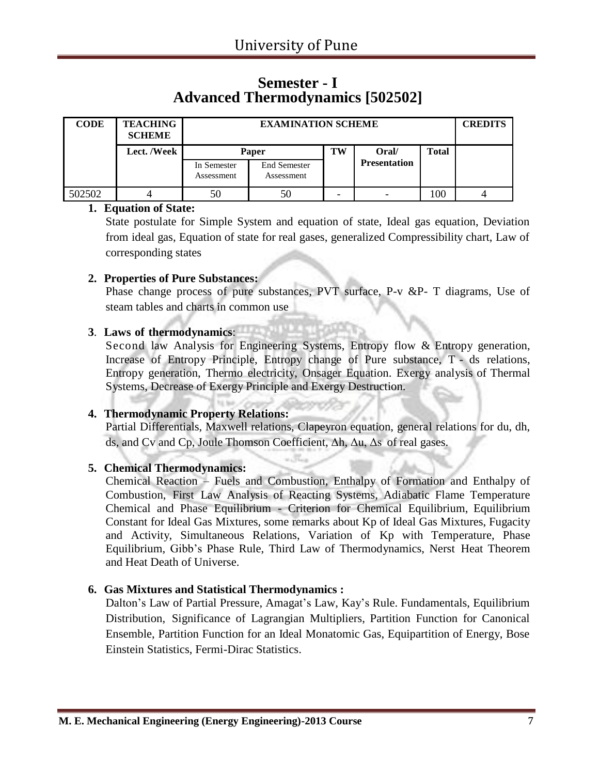### **Semester - I Advanced Thermodynamics [502502]**

| <b>CODE</b> | <b>TEACHING</b><br><b>SCHEME</b> |                           | <b>EXAMINATION SCHEME</b>         |    |                     |              |  |  |
|-------------|----------------------------------|---------------------------|-----------------------------------|----|---------------------|--------------|--|--|
|             | Lect. /Week                      |                           | Paper                             | TW | Oral/               | <b>Total</b> |  |  |
|             |                                  | In Semester<br>Assessment | <b>End Semester</b><br>Assessment |    | <b>Presentation</b> |              |  |  |
| 502502      |                                  | 50                        | 50                                |    |                     | 100          |  |  |

#### **1. Equation of State:**

State postulate for Simple System and equation of state, Ideal gas equation, Deviation from ideal gas, Equation of state for real gases, generalized Compressibility chart, Law of corresponding states

#### **2. Properties of Pure Substances:**

Phase change process of pure substances, PVT surface, P-v &P- T diagrams, Use of steam tables and charts in common use

#### **3**. **Laws of thermodynamics**:

Second law Analysis for Engineering Systems, Entropy flow & Entropy generation, Increase of Entropy Principle, Entropy change of Pure substance, T - ds relations, Entropy generation, Thermo electricity, Onsager Equation. Exergy analysis of Thermal Systems, Decrease of Exergy Principle and Exergy Destruction.

#### **4. Thermodynamic Property Relations:**

Partial Differentials, Maxwell relations, Clapeyron equation, general relations for du, dh, ds, and Cv and Cp, Joule Thomson Coefficient, Δh, Δu, Δs of real gases.

#### **5. Chemical Thermodynamics:**

Chemical Reaction – Fuels and Combustion, Enthalpy of Formation and Enthalpy of Combustion, First Law Analysis of Reacting Systems, Adiabatic Flame Temperature Chemical and Phase Equilibrium - Criterion for Chemical Equilibrium, Equilibrium Constant for Ideal Gas Mixtures, some remarks about Kp of Ideal Gas Mixtures, Fugacity and Activity, Simultaneous Relations, Variation of Kp with Temperature, Phase Equilibrium, Gibb's Phase Rule, Third Law of Thermodynamics, Nerst Heat Theorem and Heat Death of Universe.

#### **6. Gas Mixtures and Statistical Thermodynamics :**

Dalton's Law of Partial Pressure, Amagat's Law, Kay's Rule. Fundamentals, Equilibrium Distribution, Significance of Lagrangian Multipliers, Partition Function for Canonical Ensemble, Partition Function for an Ideal Monatomic Gas, Equipartition of Energy, Bose Einstein Statistics, Fermi-Dirac Statistics.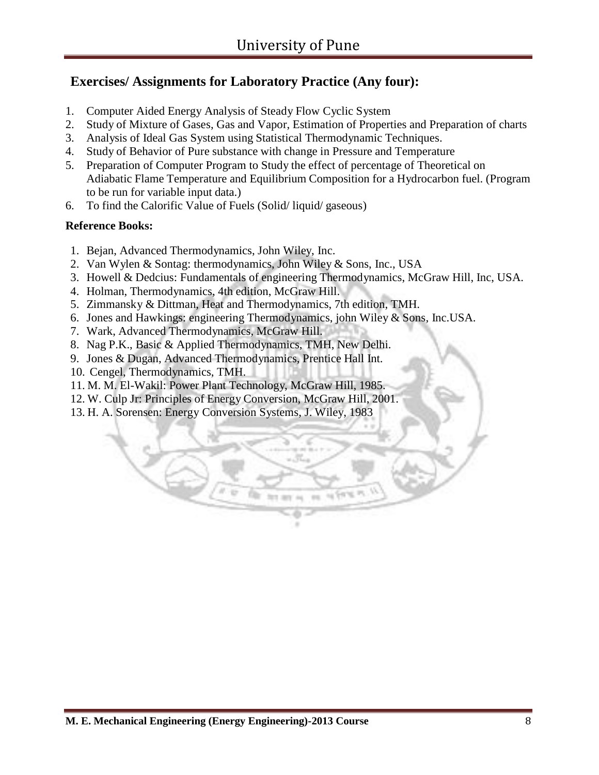### **Exercises/ Assignments for Laboratory Practice (Any four):**

- 1. Computer Aided Energy Analysis of Steady Flow Cyclic System
- 2. Study of Mixture of Gases, Gas and Vapor, Estimation of Properties and Preparation of charts
- 3. Analysis of Ideal Gas System using Statistical Thermodynamic Techniques.
- 4. Study of Behavior of Pure substance with change in Pressure and Temperature
- 5. Preparation of Computer Program to Study the effect of percentage of Theoretical on Adiabatic Flame Temperature and Equilibrium Composition for a Hydrocarbon fuel. (Program to be run for variable input data.)
- 6. To find the Calorific Value of Fuels (Solid/ liquid/ gaseous)

#### **Reference Books:**

- 1. Bejan, Advanced Thermodynamics, John Wiley, Inc.
- 2. Van Wylen & Sontag: thermodynamics, John Wiley & Sons, Inc., USA
- 3. Howell & Dedcius: Fundamentals of engineering Thermodynamics, McGraw Hill, Inc, USA.
- 4. Holman, Thermodynamics, 4th edition, McGraw Hill.
- 5. Zimmansky & Dittman, Heat and Thermodynamics, 7th edition, TMH.
- 6. Jones and Hawkings: engineering Thermodynamics, john Wiley & Sons, Inc.USA.
- 7. Wark, Advanced Thermodynamics, McGraw Hill.
- 8. Nag P.K., Basic & Applied Thermodynamics, TMH, New Delhi.
- 9. Jones & Dugan, Advanced Thermodynamics, Prentice Hall Int.
- 10. Cengel, Thermodynamics, TMH.
- 11. M. M. El-Wakil: Power Plant Technology, McGraw Hill, 1985.
- 12. W. Culp Jr: Principles of Energy Conversion, McGraw Hill, 2001.
- 13. H. A. Sorensen: Energy Conversion Systems, J. Wiley, 1983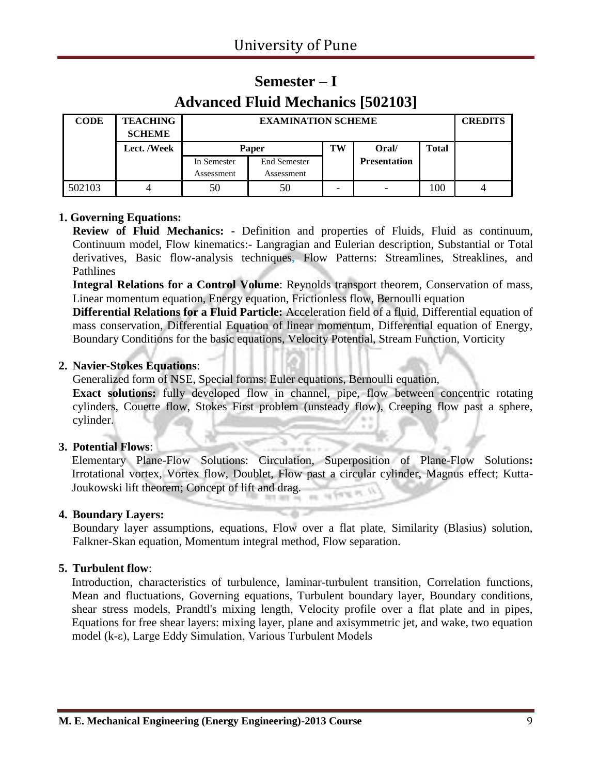### **Semester – I Advanced Fluid Mechanics [502103]**

| <b>CODE</b> | <b>TEACHING</b><br><b>SCHEME</b> |             | <b>EXAMINATION SCHEME</b> |    |                     |              | <b>CREDITS</b> |
|-------------|----------------------------------|-------------|---------------------------|----|---------------------|--------------|----------------|
|             | Lect. /Week                      |             | Paper                     | TW | Oral/               | <b>Total</b> |                |
|             |                                  | In Semester | <b>End Semester</b>       |    | <b>Presentation</b> |              |                |
|             |                                  | Assessment  | Assessment                |    |                     |              |                |
| 502103      |                                  | 50          | 50                        |    |                     | 100          |                |

#### **1. Governing Equations:**

**Review of Fluid Mechanics: -** Definition and properties of Fluids, Fluid as continuum, Continuum model, Flow kinematics:- Langragian and Eulerian description, Substantial or Total derivatives, Basic flow-analysis techniques**,** Flow Patterns: Streamlines, Streaklines, and Pathlines

**Integral Relations for a Control Volume**: Reynolds transport theorem, Conservation of mass, Linear momentum equation, Energy equation, Frictionless flow, Bernoulli equation

**Differential Relations for a Fluid Particle:** Acceleration field of a fluid, Differential equation of mass conservation, Differential Equation of linear momentum, Differential equation of Energy, Boundary Conditions for the basic equations, Velocity Potential, Stream Function, Vorticity

#### **2. Navier-Stokes Equations**:

Generalized form of NSE, Special forms: Euler equations, Bernoulli equation,

**Exact solutions:** fully developed flow in channel, pipe, flow between concentric rotating cylinders, Couette flow, Stokes First problem (unsteady flow), Creeping flow past a sphere, cylinder.

#### **3. Potential Flows**:

Elementary Plane-Flow Solutions: Circulation, Superposition of Plane-Flow Solutions**:** Irrotational vortex, Vortex flow, Doublet, Flow past a circular cylinder, Magnus effect; Kutta-Joukowski lift theorem; Concept of lift and drag.  $\frac{1}{2} \sqrt{\frac{1}{2} \left( 1 + \frac{1}{2} \right)}$ 

#### **4. Boundary Layers:**

Boundary layer assumptions, equations, Flow over a flat plate, Similarity (Blasius) solution, Falkner-Skan equation, Momentum integral method, Flow separation.

#### **5. Turbulent flow**:

Introduction, characteristics of turbulence, laminar-turbulent transition, Correlation functions, Mean and fluctuations, Governing equations, Turbulent boundary layer, Boundary conditions, shear stress models, Prandtl's mixing length, Velocity profile over a flat plate and in pipes, Equations for free shear layers: mixing layer, plane and axisymmetric jet, and wake, two equation model (k-ε), Large Eddy Simulation, Various Turbulent Models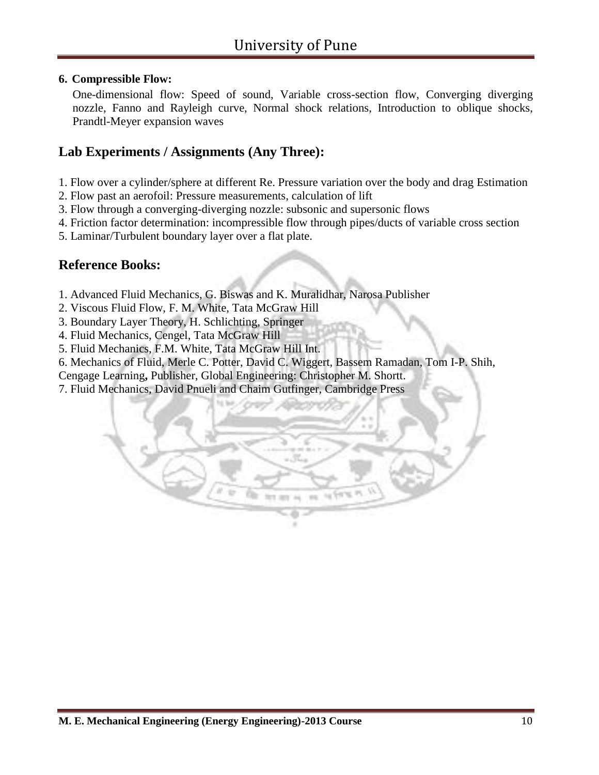#### **6. Compressible Flow:**

One-dimensional flow: Speed of sound, Variable cross-section flow, Converging diverging nozzle, Fanno and Rayleigh curve, Normal shock relations, Introduction to oblique shocks, Prandtl-Meyer expansion waves

#### **Lab Experiments / Assignments (Any Three):**

- 1. Flow over a cylinder/sphere at different Re. Pressure variation over the body and drag Estimation
- 2. Flow past an aerofoil: Pressure measurements, calculation of lift
- 3. Flow through a converging-diverging nozzle: subsonic and supersonic flows
- 4. Friction factor determination: incompressible flow through pipes/ducts of variable cross section
- 5. Laminar/Turbulent boundary layer over a flat plate.

#### **Reference Books:**

- 1. Advanced Fluid Mechanics, G. Biswas and K. Muralidhar, Narosa Publisher
- 2. Viscous Fluid Flow, F. M. White, Tata McGraw Hill
- 3. Boundary Layer Theory, H. Schlichting, Springer
- 4. Fluid Mechanics, Cengel, Tata McGraw Hill
- 5. Fluid Mechanics, F.M. White, Tata McGraw Hill Int.
- 6. Mechanics of Fluid, Merle C. Potter, David C. Wiggert, Bassem Ramadan, Tom I-P. Shih,
- Cengage Learning**,** Publisher, Global Engineering: Christopher M. Shortt.
- 7. Fluid Mechanics, David Pnueli and Chaim Gutfinger, Cambridge Press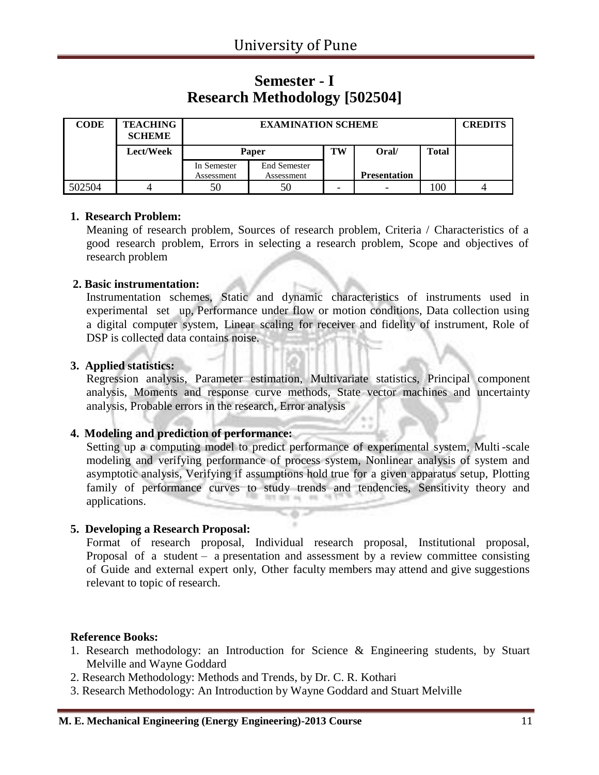### **Semester - I Research Methodology [502504]**

| <b>CODE</b> | <b>TEACHING</b><br><b>SCHEME</b> |             | <b>EXAMINATION SCHEME</b> |    |                          |              | <b>CREDITS</b> |
|-------------|----------------------------------|-------------|---------------------------|----|--------------------------|--------------|----------------|
|             | Lect/Week                        |             | <b>Paper</b>              | TW | (Oral                    | <b>Total</b> |                |
|             |                                  | In Semester | <b>End Semester</b>       |    |                          |              |                |
|             |                                  | Assessment  | Assessment                |    | <b>Presentation</b>      |              |                |
| 502504      |                                  | 50          | 50                        | -  | $\overline{\phantom{0}}$ | 100          |                |

#### **1. Research Problem:**

Meaning of research problem, Sources of research problem, Criteria / Characteristics of a good research problem, Errors in selecting a research problem, Scope and objectives of research problem

#### **2. Basic instrumentation:**

Instrumentation schemes, Static and dynamic characteristics of instruments used in experimental set up, Performance under flow or motion conditions, Data collection using a digital computer system, Linear scaling for receiver and fidelity of instrument, Role of DSP is collected data contains noise.

#### **3. Applied statistics:**

Regression analysis, Parameter estimation, Multivariate statistics, Principal component analysis, Moments and response curve methods, State vector machines and uncertainty analysis, Probable errors in the research, Error analysis

#### **4. Modeling and prediction of performance:**

Setting up a computing model to predict performance of experimental system, Multi -scale modeling and verifying performance of process system, Nonlinear analysis of system and asymptotic analysis, Verifying if assumptions hold true for a given apparatus setup, Plotting family of performance curves to study trends and tendencies, Sensitivity theory and applications.

#### **5. Developing a Research Proposal:**

Format of research proposal, Individual research proposal, Institutional proposal, Proposal of a student – a presentation and assessment by a review committee consisting of Guide and external expert only, Other faculty members may attend and give suggestions relevant to topic of research.

#### **Reference Books:**

- 1. Research methodology: an Introduction for Science & Engineering students, by Stuart Melville and Wayne Goddard
- 2. Research Methodology: Methods and Trends, by Dr. C. R. Kothari
- 3. Research Methodology: An Introduction by Wayne Goddard and Stuart Melville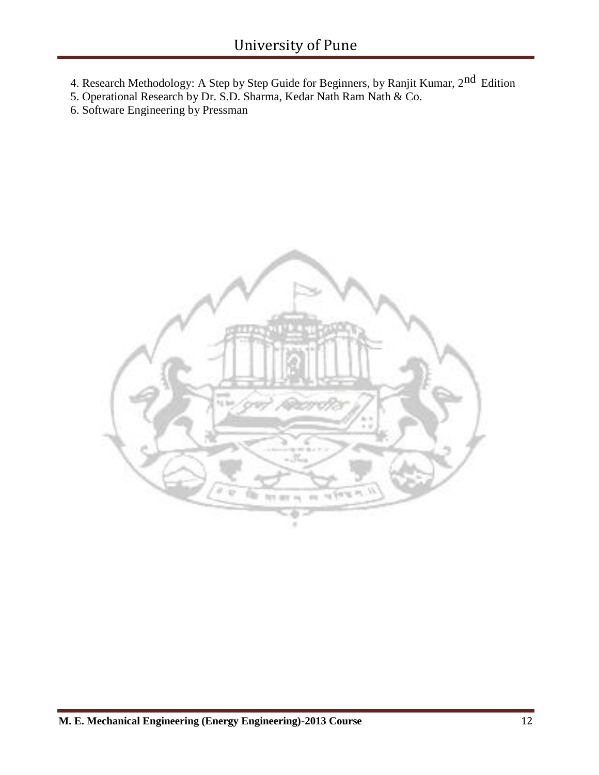- 4. Research Methodology: A Step by Step Guide for Beginners, by Ranjit Kumar, 2<sup>nd</sup> Edition
- 5. Operational Research by Dr. S.D. Sharma, Kedar Nath Ram Nath & Co.
- 6. Software Engineering by Pressman

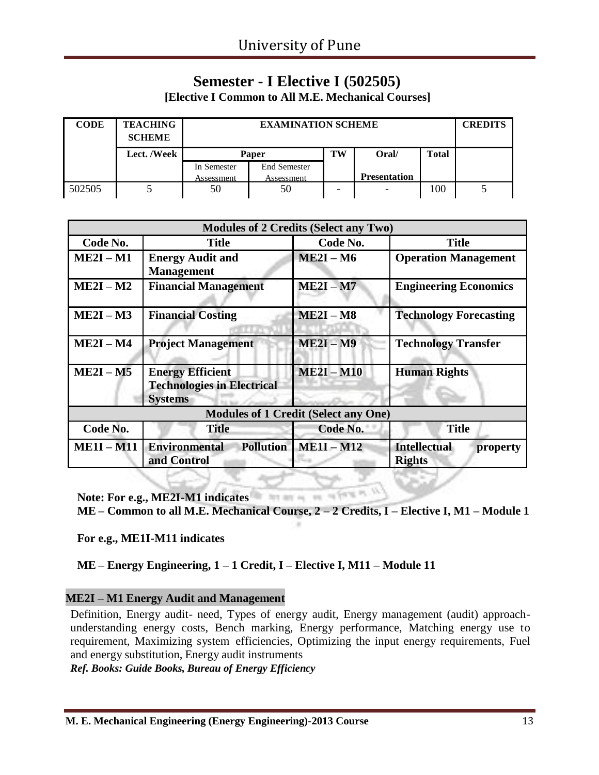## **Semester - I Elective I (502505)**

**[Elective I Common to All M.E. Mechanical Courses]**

| <b>CODE</b> | <b>TEACHING</b><br><b>SCHEME</b> |             | <b>EXAMINATION SCHEME</b> |    |                     |              |  |  |
|-------------|----------------------------------|-------------|---------------------------|----|---------------------|--------------|--|--|
|             | Lect. /Week                      |             | Paper                     | TW | Oral/               | <b>Total</b> |  |  |
|             |                                  | In Semester | <b>End Semester</b>       |    |                     |              |  |  |
|             |                                  | Assessment  | Assessment                |    | <b>Presentation</b> |              |  |  |
| 502505      |                                  | 50          | 50                        | -  |                     | 100          |  |  |

|                 |                                                                                | <b>Modules of 2 Credits (Select any Two)</b> |                                                  |
|-----------------|--------------------------------------------------------------------------------|----------------------------------------------|--------------------------------------------------|
| Code No.        | <b>Title</b>                                                                   | Code No.                                     | <b>Title</b>                                     |
| $ME2I - M1$     | <b>Energy Audit and</b><br><b>Management</b>                                   | $ME2I - M6$                                  | <b>Operation Management</b>                      |
| $ME2I - M2$     | <b>Financial Management</b>                                                    | $ME2I - M7$                                  | <b>Engineering Economics</b>                     |
| $ME2I - M3$     | <b>Financial Costing</b>                                                       | $ME2I - M8$                                  | <b>Technology Forecasting</b>                    |
| $ME2I - M4$     | <b>Project Management</b>                                                      | $ME2I - M9$                                  | <b>Technology Transfer</b>                       |
| $ME2I - M5$     | <b>Energy Efficient</b><br><b>Technologies in Electrical</b><br><b>Systems</b> | $ME2I - M10$                                 | <b>Human Rights</b>                              |
|                 |                                                                                | <b>Modules of 1 Credit (Select any One)</b>  |                                                  |
| Code No.        | <b>Title</b>                                                                   | Code No.                                     | <b>Title</b>                                     |
| <b>ME1I-M11</b> | <b>Environmental</b><br><b>Pollution</b><br>and Control                        | $ME1I - M12$                                 | <b>Intellectual</b><br>property<br><b>Rights</b> |

**Note: For e.g., ME2I-M1 indicates**

**ME – Common to all M.E. Mechanical Course, 2 – 2 Credits, I – Elective I, M1 – Module 1**

**For e.g., ME1I-M11 indicates**

#### **ME – Energy Engineering, 1 – 1 Credit, I – Elective I, M11 – Module 11**

#### **ME2I – M1 Energy Audit and Management**

Definition, Energy audit- need, Types of energy audit, Energy management (audit) approachunderstanding energy costs, Bench marking, Energy performance, Matching energy use to requirement, Maximizing system efficiencies, Optimizing the input energy requirements, Fuel and energy substitution, Energy audit instruments

*Ref. Books: Guide Books, Bureau of Energy Efficiency*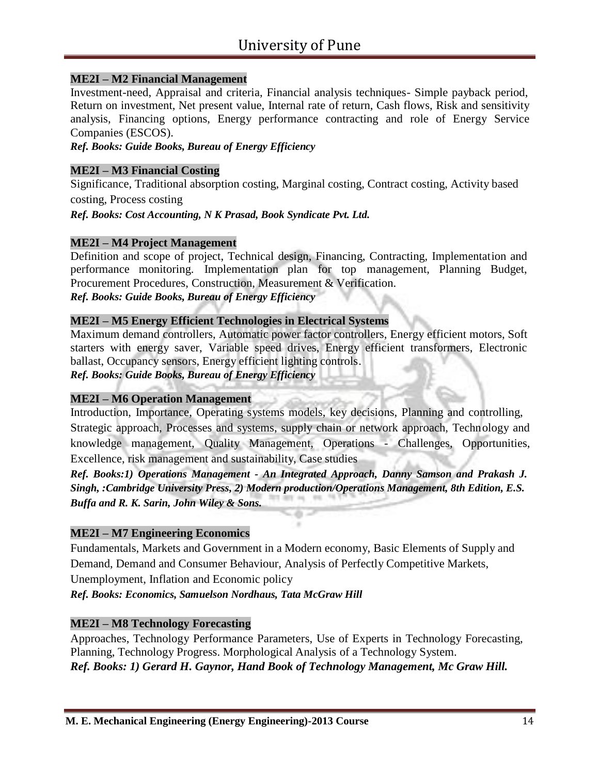#### **ME2I – M2 Financial Management**

Investment-need, Appraisal and criteria, Financial analysis techniques- Simple payback period, Return on investment, Net present value, Internal rate of return, Cash flows, Risk and sensitivity analysis, Financing options, Energy performance contracting and role of Energy Service Companies (ESCOS).

*Ref. Books: Guide Books, Bureau of Energy Efficiency*

#### **ME2I – M3 Financial Costing**

Significance, Traditional absorption costing, Marginal costing, Contract costing, Activity based costing, Process costing

*Ref. Books: Cost Accounting, N K Prasad, Book Syndicate Pvt. Ltd.*

#### **ME2I – M4 Project Management**

Definition and scope of project, Technical design, Financing, Contracting, Implementation and performance monitoring. Implementation plan for top management, Planning Budget, Procurement Procedures, Construction, Measurement & Verification. *Ref. Books: Guide Books, Bureau of Energy Efficiency*

#### **ME2I – M5 Energy Efficient Technologies in Electrical Systems**

Maximum demand controllers, Automatic power factor controllers, Energy efficient motors, Soft starters with energy saver, Variable speed drives, Energy efficient transformers, Electronic ballast, Occupancy sensors, Energy efficient lighting controls.

*Ref. Books: Guide Books, Bureau of Energy Efficiency*

#### **ME2I – M6 Operation Management**

Introduction, Importance, Operating systems models, key decisions, Planning and controlling, Strategic approach, Processes and systems, supply chain or network approach, Technology and knowledge management, Quality Management, Operations - Challenges, Opportunities, Excellence, risk management and sustainability, Case studies

*Ref. Books:1) Operations Management - An Integrated Approach, Danny Samson and Prakash J. Singh, :Cambridge University Press, 2) Modern production/Operations Management, 8th Edition, E.S. Buffa and R. K. Sarin, John Wiley & Sons.*

#### **ME2I – M7 Engineering Economics**

Fundamentals, Markets and Government in a Modern economy, Basic Elements of Supply and Demand, Demand and Consumer Behaviour, Analysis of Perfectly Competitive Markets, Unemployment, Inflation and Economic policy

*Ref. Books: Economics, Samuelson Nordhaus, Tata McGraw Hill*

#### **ME2I – M8 Technology Forecasting**

Approaches, Technology Performance Parameters, Use of Experts in Technology Forecasting, Planning, Technology Progress. Morphological Analysis of a Technology System. *Ref. Books: 1) Gerard H. Gaynor, Hand Book of Technology Management, Mc Graw Hill.*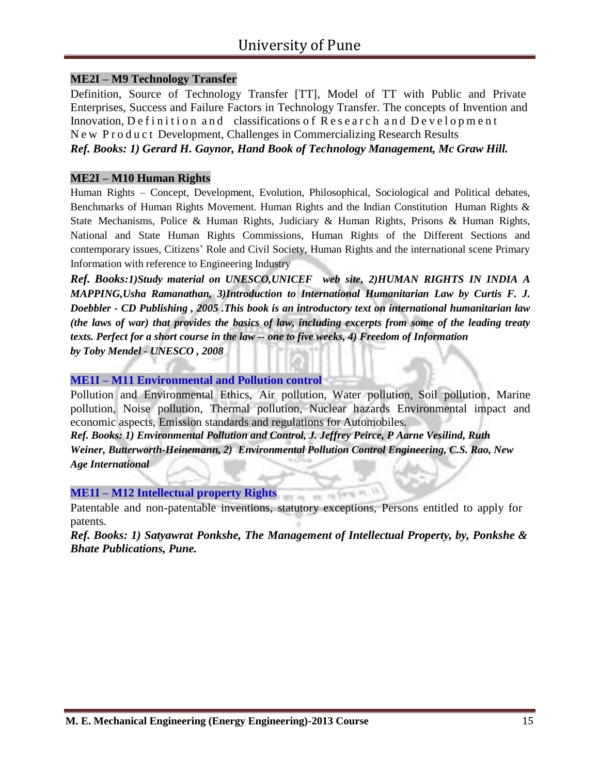#### **ME2I – M9 Technology Transfer**

Definition, Source of Technology Transfer [TT], Model of TT with Public and Private Enterprises, Success and Failure Factors in Technology Transfer. The concepts of Invention and Innovation, Definition and classifications of Research and Development N e w P r o d u c t Development, Challenges in Commercializing Research Results *Ref. Books: 1) Gerard H. Gaynor, Hand Book of Technology Management, Mc Graw Hill.*

#### **ME2I – M10 Human Rights**

Human Rights – Concept, Development, Evolution, Philosophical, Sociological and Political debates, Benchmarks of Human Rights Movement. Human Rights and the Indian Constitution Human Rights & State Mechanisms, Police & Human Rights, Judiciary & Human Rights, Prisons & Human Rights, National and State Human Rights Commissions, Human Rights of the Different Sections and contemporary issues, Citizens' Role and Civil Society, Human Rights and the international scene Primary Information with reference to Engineering Industry

*Ref. Books:1)Study material on UNESCO,UNICEF web site, 2)HUMAN RIGHTS IN INDIA A MAPPING,Usha Ramanathan, 3)Introduction to International Humanitarian Law by Curtis F. J. Doebbler - CD Publishing , 2005 .This book is an introductory text on international humanitarian law*  (the laws of war) that provides the basics of law, including excerpts from some of the leading treaty *texts. Perfect for a short course in the law -- one to five weeks, 4) Freedom of Information by Toby Mendel - UNESCO , 2008*

#### **ME1I – M11 Environmental and Pollution control**

Pollution and Environmental Ethics, Air pollution, Water pollution, Soil pollution, Marine pollution, Noise pollution, Thermal pollution, Nuclear hazards Environmental impact and economic aspects, Emission standards and regulations for Automobiles.

*Ref. Books: 1) Environmental Pollution and Control, J. Jeffrey Peirce, P Aarne Vesilind, Ruth Weiner, Butterworth-Heinemann, 2) Environmental Pollution Control Engineering, C.S. Rao, New Age International*

**ME1I – M12 Intellectual property Rights**

Patentable and non-patentable inventions, statutory exceptions, Persons entitled to apply for patents.

SEN AV

**Sec.** 

*Ref. Books: 1) Satyawrat Ponkshe, The Management of Intellectual Property, by, Ponkshe & Bhate Publications, Pune.*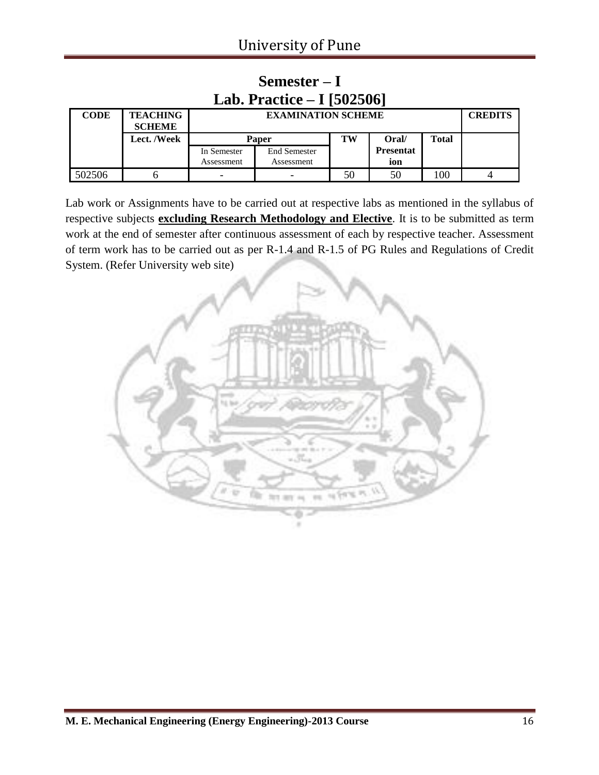| Lab. Practice $-1$ [502506] |                                  |                           |                                   |    |                         |       |  |  |  |  |  |
|-----------------------------|----------------------------------|---------------------------|-----------------------------------|----|-------------------------|-------|--|--|--|--|--|
| <b>CODE</b>                 | <b>TEACHING</b><br><b>SCHEME</b> |                           | <b>EXAMINATION SCHEME</b>         |    |                         |       |  |  |  |  |  |
|                             | Lect. /Week                      |                           | <b>Paper</b>                      | TW | Oral/                   | Total |  |  |  |  |  |
|                             |                                  | In Semester<br>Assessment | <b>End Semester</b><br>Assessment |    | <b>Presentat</b><br>ion |       |  |  |  |  |  |
| 502506                      |                                  | -                         |                                   | 50 | 50                      | 100   |  |  |  |  |  |

### **Semester – I Lab. Practice – I [502506]**

Lab work or Assignments have to be carried out at respective labs as mentioned in the syllabus of respective subjects **excluding Research Methodology and Elective**. It is to be submitted as term work at the end of semester after continuous assessment of each by respective teacher. Assessment of term work has to be carried out as per R-1.4 and R-1.5 of PG Rules and Regulations of Credit System. (Refer University web site)

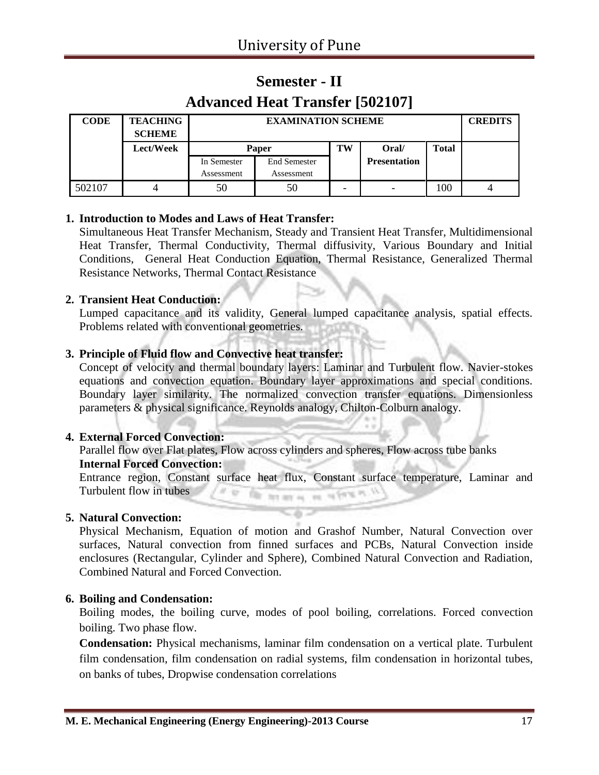### **Semester - II Advanced Heat Transfer [502107]**

| <b>CODE</b> | <b>TEACHING</b><br><b>SCHEME</b> |             | <b>EXAMINATION SCHEME</b>            |  |                     |     | <b>CREDITS</b> |
|-------------|----------------------------------|-------------|--------------------------------------|--|---------------------|-----|----------------|
|             | Lect/Week                        |             | <b>Total</b><br>TW<br>Oral/<br>Paper |  |                     |     |                |
|             |                                  | In Semester | <b>End Semester</b>                  |  | <b>Presentation</b> |     |                |
|             |                                  | Assessment  | Assessment                           |  |                     |     |                |
| 502107      |                                  | 50          | 50                                   |  |                     | 100 |                |

#### **1. Introduction to Modes and Laws of Heat Transfer:**

Simultaneous Heat Transfer Mechanism, Steady and Transient Heat Transfer, Multidimensional Heat Transfer, Thermal Conductivity, Thermal diffusivity, Various Boundary and Initial Conditions, General Heat Conduction Equation, Thermal Resistance, Generalized Thermal Resistance Networks, Thermal Contact Resistance

#### **2. Transient Heat Conduction:**

Lumped capacitance and its validity, General lumped capacitance analysis, spatial effects. Problems related with conventional geometries.

#### **3. Principle of Fluid flow and Convective heat transfer:**

Concept of velocity and thermal boundary layers: Laminar and Turbulent flow. Navier-stokes equations and convection equation. Boundary layer approximations and special conditions. Boundary layer similarity. The normalized convection transfer equations. Dimensionless parameters & physical significance. Reynolds analogy, Chilton-Colburn analogy.

#### **4. External Forced Convection:**

Parallel flow over Flat plates, Flow across cylinders and spheres, Flow across tube banks **Internal Forced Convection:**

Entrance region, Constant surface heat flux, Constant surface temperature, Laminar and Turbulent flow in tubes  $17.46$ 临 for any or we refer to

#### **5. Natural Convection:**

Physical Mechanism, Equation of motion and Grashof Number, Natural Convection over surfaces, Natural convection from finned surfaces and PCBs, Natural Convection inside enclosures (Rectangular, Cylinder and Sphere), Combined Natural Convection and Radiation, Combined Natural and Forced Convection.

#### **6. Boiling and Condensation:**

Boiling modes, the boiling curve, modes of pool boiling, correlations. Forced convection boiling. Two phase flow.

**Condensation:** Physical mechanisms, laminar film condensation on a vertical plate. Turbulent film condensation, film condensation on radial systems, film condensation in horizontal tubes, on banks of tubes, Dropwise condensation correlations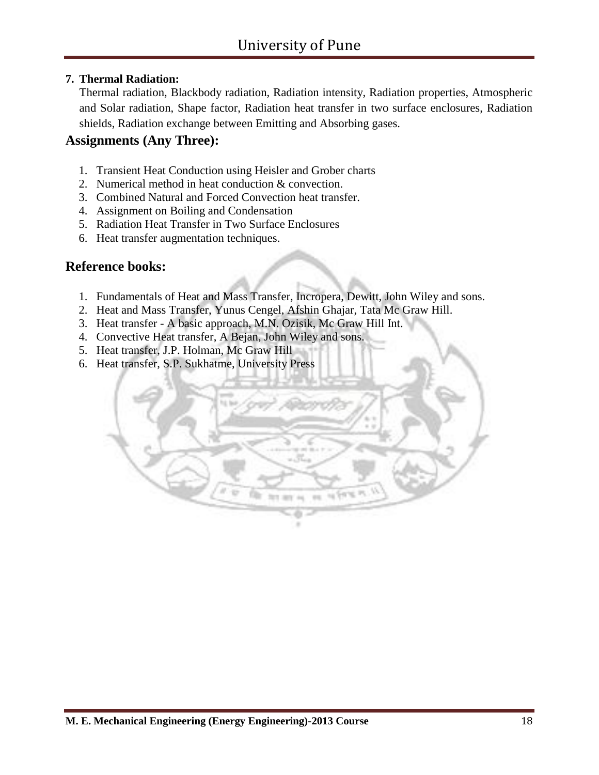#### **7. Thermal Radiation:**

Thermal radiation, Blackbody radiation, Radiation intensity, Radiation properties, Atmospheric and Solar radiation, Shape factor, Radiation heat transfer in two surface enclosures, Radiation shields, Radiation exchange between Emitting and Absorbing gases.

#### **Assignments (Any Three):**

- 1. Transient Heat Conduction using Heisler and Grober charts
- 2. Numerical method in heat conduction & convection.
- 3. Combined Natural and Forced Convection heat transfer.
- 4. Assignment on Boiling and Condensation
- 5. Radiation Heat Transfer in Two Surface Enclosures
- 6. Heat transfer augmentation techniques.

#### **Reference books:**

- 1. Fundamentals of Heat and Mass Transfer, Incropera, Dewitt, John Wiley and sons.
- 2. Heat and Mass Transfer, Yunus Cengel, Afshin Ghajar, Tata Mc Graw Hill.
- 3. Heat transfer A basic approach, M.N. Ozisik, Mc Graw Hill Int.
- 4. Convective Heat transfer, A Bejan, John Wiley and sons.
- 5. Heat transfer, J.P. Holman, Mc Graw Hill
- 6. Heat transfer, S.P. Sukhatme, University Press

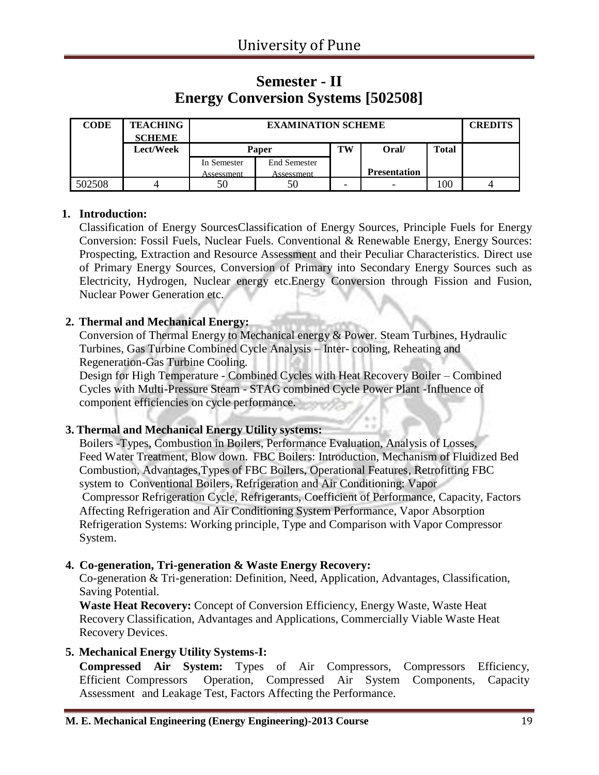### **Semester - II Energy Conversion Systems [502508]**

| <b>CODE</b> | <b>TEACHING</b><br><b>SCHEME</b> |             | <b>EXAMINATION SCHEME</b> |    |                          |              |  |
|-------------|----------------------------------|-------------|---------------------------|----|--------------------------|--------------|--|
|             | Lect/Week                        |             | <b>Paper</b>              | TW | Oral/                    | <b>Total</b> |  |
|             |                                  | In Semester | End Semester              |    |                          |              |  |
|             |                                  | Assessment  | Assessment                |    | <b>Presentation</b>      |              |  |
| 502508      |                                  |             | 50                        |    | $\overline{\phantom{0}}$ | 100          |  |

#### **1. Introduction:**

Classification of Energy SourcesClassification of Energy Sources, Principle Fuels for Energy Conversion: Fossil Fuels, Nuclear Fuels. Conventional & Renewable Energy, Energy Sources: Prospecting, Extraction and Resource Assessment and their Peculiar Characteristics. Direct use of Primary Energy Sources, Conversion of Primary into Secondary Energy Sources such as Electricity, Hydrogen, Nuclear energy etc.Energy Conversion through Fission and Fusion, Nuclear Power Generation etc.

#### **2. Thermal and Mechanical Energy:**

Conversion of Thermal Energy to Mechanical energy & Power. Steam Turbines, Hydraulic Turbines, Gas Turbine Combined Cycle Analysis – Inter- cooling, Reheating and Regeneration-Gas Turbine Cooling.

Design for High Temperature - Combined Cycles with Heat Recovery Boiler – Combined Cycles with Multi-Pressure Steam - STAG combined Cycle Power Plant -Influence of component efficiencies on cycle performance.

#### **3. Thermal and Mechanical Energy Utility systems:**

Boilers -Types, Combustion in Boilers, Performance Evaluation, Analysis of Losses, Feed Water Treatment, Blow down. FBC Boilers: Introduction, Mechanism of Fluidized Bed Combustion, Advantages,Types of FBC Boilers, Operational Features, Retrofitting FBC system to Conventional Boilers, Refrigeration and Air Conditioning: Vapor Compressor Refrigeration Cycle, Refrigerants, Coefficient of Performance, Capacity, Factors Affecting Refrigeration and Air Conditioning System Performance, Vapor Absorption Refrigeration Systems: Working principle, Type and Comparison with Vapor Compressor System.

#### **4. Co-generation, Tri-generation & Waste Energy Recovery:**

Co-generation & Tri-generation: Definition, Need, Application, Advantages, Classification, Saving Potential.

**Waste Heat Recovery:** Concept of Conversion Efficiency, Energy Waste, Waste Heat Recovery Classification, Advantages and Applications, Commercially Viable Waste Heat Recovery Devices.

#### **5. Mechanical Energy Utility Systems-I:**

**Compressed Air System:** Types of Air Compressors, Compressors Efficiency, Efficient Compressors Operation, Compressed Air System Components, Capacity Assessment and Leakage Test, Factors Affecting the Performance.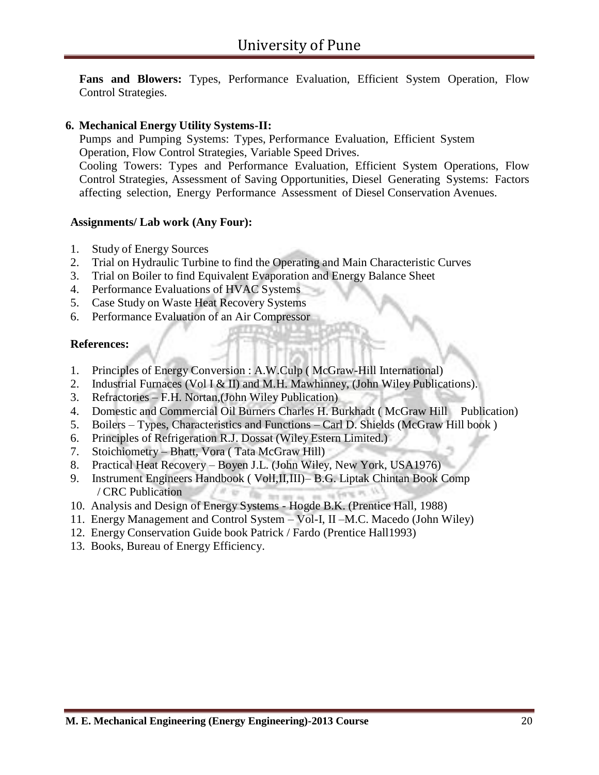**Fans and Blowers:** Types, Performance Evaluation, Efficient System Operation, Flow Control Strategies.

#### **6. Mechanical Energy Utility Systems-II:**

Pumps and Pumping Systems: Types, Performance Evaluation, Efficient System Operation, Flow Control Strategies, Variable Speed Drives. Cooling Towers: Types and Performance Evaluation, Efficient System Operations, Flow Control Strategies, Assessment of Saving Opportunities, Diesel Generating Systems: Factors affecting selection, Energy Performance Assessment of Diesel Conservation Avenues.

#### **Assignments/ Lab work (Any Four):**

- 1. Study of Energy Sources
- 2. Trial on Hydraulic Turbine to find the Operating and Main Characteristic Curves
- 3. Trial on Boiler to find Equivalent Evaporation and Energy Balance Sheet
- 4. Performance Evaluations of HVAC Systems
- 5. Case Study on Waste Heat Recovery Systems
- 6. Performance Evaluation of an Air Compressor

#### **References:**

- 1. Principles of Energy Conversion : A.W.Culp ( McGraw-Hill International)
- 2. Industrial Furnaces (Vol I & II) and M.H. Mawhinney, (John Wiley Publications).
- 3. Refractories F.H. Nortan,(John Wiley Publication)
- 4. Domestic and Commercial Oil Burners Charles H. Burkhadt ( McGraw Hill Publication)
- 5. Boilers Types, Characteristics and Functions Carl D. Shields (McGraw Hill book )
- 6. Principles of Refrigeration R.J. Dossat (Wiley Estern Limited.)
- 7. Stoichiometry Bhatt, Vora ( Tata McGraw Hill)
- 8. Practical Heat Recovery Boyen J.L. (John Wiley, New York, USA1976)
- 9. Instrument Engineers Handbook ( VolI,II,III)– B.G. Liptak Chintan Book Comp / CRC Publication  $201.00$
- 10. Analysis and Design of Energy Systems Hogde B.K. (Prentice Hall, 1988)
- 11. Energy Management and Control System Vol-I, II –M.C. Macedo (John Wiley)
- 12. Energy Conservation Guide book Patrick / Fardo (Prentice Hall1993)
- 13. Books, Bureau of Energy Efficiency.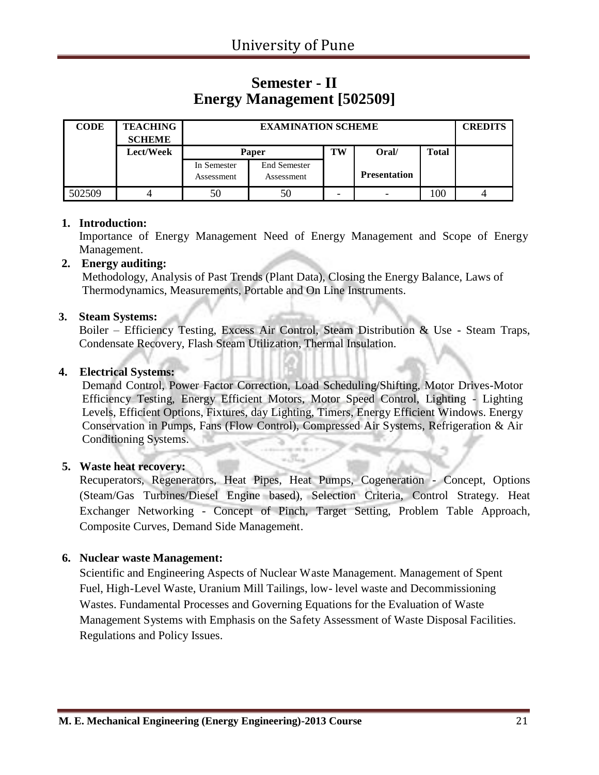### **Semester - II Energy Management [502509]**

| <b>CODE</b> | <b>TEACHING</b><br><b>SCHEME</b> |                           | <b>EXAMINATION SCHEME</b>         |    |                     |              |  |  |
|-------------|----------------------------------|---------------------------|-----------------------------------|----|---------------------|--------------|--|--|
|             | Lect/Week                        |                           | Paper                             | TW | Oral/               | <b>Total</b> |  |  |
|             |                                  | In Semester<br>Assessment | <b>End Semester</b><br>Assessment |    | <b>Presentation</b> |              |  |  |
| 502509      |                                  | 50                        | 50                                |    | -                   | 100          |  |  |

#### **1. Introduction:**

Importance of Energy Management Need of Energy Management and Scope of Energy Management.

#### **2. Energy auditing:**

Methodology, Analysis of Past Trends (Plant Data), Closing the Energy Balance, Laws of Thermodynamics, Measurements, Portable and On Line Instruments.

#### **3. Steam Systems:**

Boiler – Efficiency Testing, Excess Air Control, Steam Distribution & Use - Steam Traps, Condensate Recovery, Flash Steam Utilization, Thermal Insulation.

#### **4. Electrical Systems:**

Demand Control, Power Factor Correction, Load Scheduling/Shifting, Motor Drives-Motor Efficiency Testing, Energy Efficient Motors, Motor Speed Control, Lighting - Lighting Levels, Efficient Options, Fixtures, day Lighting, Timers, Energy Efficient Windows. Energy Conservation in Pumps, Fans (Flow Control), Compressed Air Systems, Refrigeration & Air Conditioning Systems.

#### **5. Waste heat recovery:**

Recuperators, Regenerators, Heat Pipes, Heat Pumps, Cogeneration - Concept, Options (Steam/Gas Turbines/Diesel Engine based), Selection Criteria, Control Strategy. Heat Exchanger Networking - Concept of Pinch, Target Setting, Problem Table Approach, Composite Curves, Demand Side Management.

#### **6. Nuclear waste Management:**

Scientific and Engineering Aspects of Nuclear Waste Management. Management of Spent Fuel, High-Level Waste, Uranium Mill Tailings, low- level waste and Decommissioning Wastes. Fundamental Processes and Governing Equations for the Evaluation of Waste Management Systems with Emphasis on the Safety Assessment of Waste Disposal Facilities. Regulations and Policy Issues.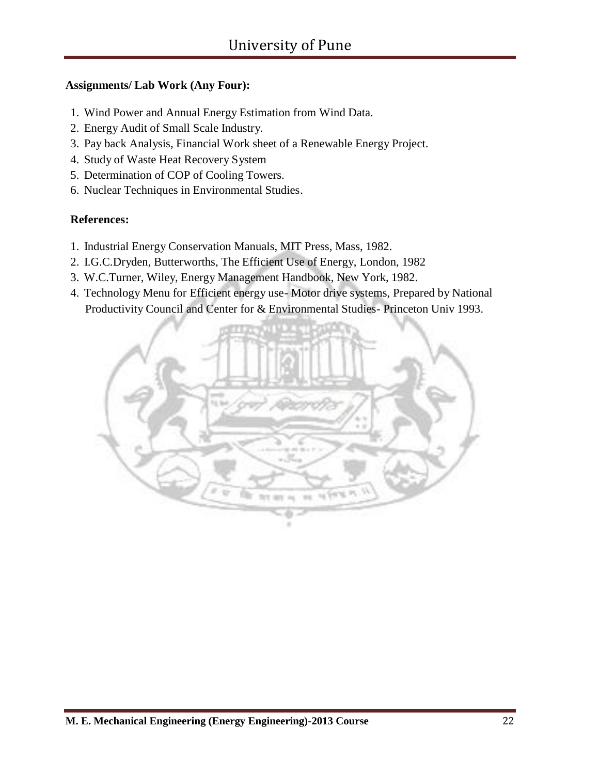#### **Assignments/ Lab Work (Any Four):**

- 1. Wind Power and Annual Energy Estimation from Wind Data.
- 2. Energy Audit of Small Scale Industry.
- 3. Pay back Analysis, Financial Work sheet of a Renewable Energy Project.
- 4. Study of Waste Heat Recovery System
- 5. Determination of COP of Cooling Towers.
- 6. Nuclear Techniques in Environmental Studies.

#### **References:**

- 1. Industrial Energy Conservation Manuals, MIT Press, Mass, 1982.
- 2. I.G.C.Dryden, Butterworths, The Efficient Use of Energy, London, 1982
- 3. W.C.Turner, Wiley, Energy Management Handbook, New York, 1982.
- 4. Technology Menu for Efficient energy use- Motor drive systems, Prepared by National Productivity Council and Center for & Environmental Studies- Princeton Univ 1993.

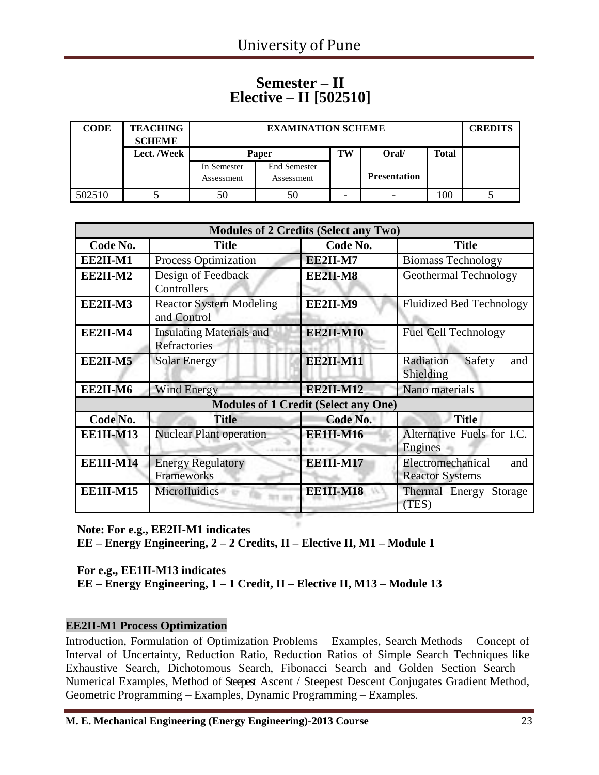### **Semester – II Elective – II [502510]**

| <b>CODE</b> | <b>TEACHING</b><br><b>SCHEME</b> |                           | <b>EXAMINATION SCHEME</b>         |    |                     |              |  |  |
|-------------|----------------------------------|---------------------------|-----------------------------------|----|---------------------|--------------|--|--|
|             | Lect. /Week                      |                           | Paper                             | TW | Oral/               | <b>Total</b> |  |  |
|             |                                  | In Semester<br>Assessment | <b>End Semester</b><br>Assessment |    | <b>Presentation</b> |              |  |  |
| 502510      |                                  | 50                        | 50                                |    |                     | 100          |  |  |

|                  |                                                 | <b>Modules of 2 Credits (Select any Two)</b> |                                                    |
|------------------|-------------------------------------------------|----------------------------------------------|----------------------------------------------------|
| Code No.         | <b>Title</b>                                    | Code No.                                     | <b>Title</b>                                       |
| EE2II-M1         | Process Optimization                            | EE2II-M7                                     | <b>Biomass Technology</b>                          |
| EE2II-M2         | Design of Feedback<br>Controllers               | EE2II-M8                                     | Geothermal Technology                              |
| EE2II-M3         | <b>Reactor System Modeling</b><br>and Control   | EE2II-M9                                     | <b>Fluidized Bed Technology</b>                    |
| EE2II-M4         | <b>Insulating Materials and</b><br>Refractories | <b>EE2II-M10</b>                             | <b>Fuel Cell Technology</b>                        |
| EE2II-M5         | <b>Solar Energy</b>                             | <b>EE2II-M11</b>                             | Radiation<br>Safety<br>and<br>Shielding            |
| EE2II-M6         | <b>Wind Energy</b>                              | <b>EE2II-M12</b>                             | Nano materials                                     |
|                  |                                                 | <b>Modules of 1 Credit (Select any One)</b>  |                                                    |
| Code No.         | <b>Title</b>                                    | Code No.                                     | <b>Title</b>                                       |
| <b>EE1II-M13</b> | <b>Nuclear Plant operation</b>                  | <b>EE1II-M16</b>                             | Alternative Fuels for I.C.<br>Engines              |
| <b>EE1II-M14</b> | <b>Energy Regulatory</b><br>Frameworks          | <b>EE1II-M17</b>                             | Electromechanical<br>and<br><b>Reactor Systems</b> |
| <b>EE1II-M15</b> | Microfluidics                                   | <b>EE1II-M18</b>                             | Thermal Energy<br>Storage<br>(TES)                 |

**Note: For e.g., EE2II-M1 indicates EE – Energy Engineering, 2 – 2 Credits, II – Elective II, M1 – Module 1**

**For e.g., EE1II-M13 indicates EE – Energy Engineering, 1 – 1 Credit, II – Elective II, M13 – Module 13**

#### **EE2II-M1 Process Optimization**

Introduction, Formulation of Optimization Problems – Examples, Search Methods – Concept of Interval of Uncertainty, Reduction Ratio, Reduction Ratios of Simple Search Techniques like Exhaustive Search, Dichotomous Search, Fibonacci Search and Golden Section Search – Numerical Examples, Method of Steepest Ascent / Steepest Descent Conjugates Gradient Method, Geometric Programming – Examples, Dynamic Programming – Examples.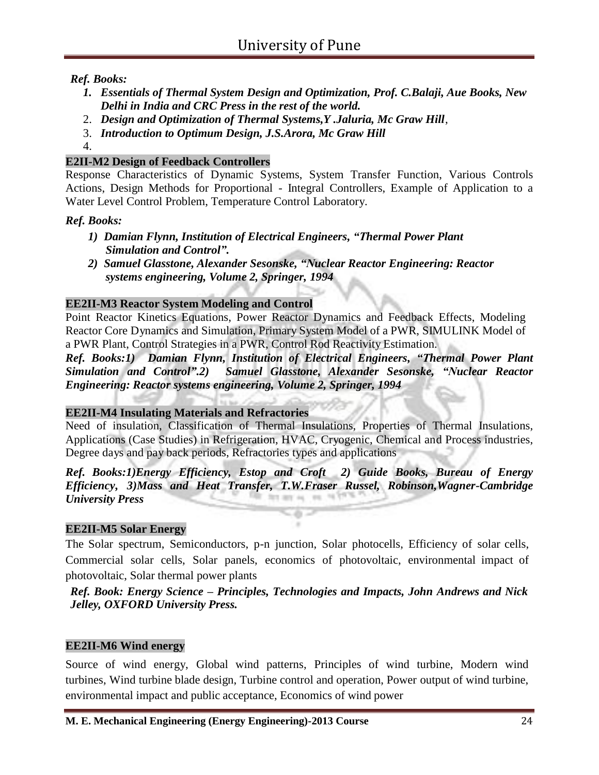*Ref. Books:*

- *1. Essentials of Thermal System Design and Optimization, Prof. C.Balaji, Aue Books, New Delhi in India and CRC Press in the rest of the world.*
- 2. *Design and Optimization of Thermal Systems,Y .Jaluria, Mc Graw Hill*,
- 3. *Introduction to Optimum Design, J.S.Arora, Mc Graw Hill*
- 4.

#### **E2II-M2 Design of Feedback Controllers**

Response Characteristics of Dynamic Systems, System Transfer Function, Various Controls Actions, Design Methods for Proportional - Integral Controllers, Example of Application to a Water Level Control Problem, Temperature Control Laboratory.

#### *Ref. Books:*

- *1) Damian Flynn, Institution of Electrical Engineers, "Thermal Power Plant Simulation and Control".*
- *2) Samuel Glasstone, Alexander Sesonske, "Nuclear Reactor Engineering: Reactor systems engineering, Volume 2, Springer, 1994*

#### **EE2II-M3 Reactor System Modeling and Control**

Point Reactor Kinetics Equations, Power Reactor Dynamics and Feedback Effects, Modeling Reactor Core Dynamics and Simulation, Primary System Model of a PWR, SIMULINK Model of a PWR Plant, Control Strategies in a PWR, Control Rod Reactivity Estimation.

*Ref. Books:1) Damian Flynn, Institution of Electrical Engineers, "Thermal Power Plant Simulation and Control".2) Samuel Glasstone, Alexander Sesonske, "Nuclear Reactor Engineering: Reactor systems engineering, Volume 2, Springer, 1994*

#### **EE2II-M4 Insulating Materials and Refractories**

Need of insulation, Classification of Thermal Insulations, Properties of Thermal Insulations, Applications (Case Studies) in Refrigeration, HVAC, Cryogenic, Chemical and Process industries, Degree days and pay back periods, Refractories types and applications

#### *Ref. Books:1)Energy Efficiency, Estop and Croft 2) Guide Books, Bureau of Energy Efficiency, 3)Mass and Heat Transfer, T.W.Fraser Russel, Robinson,Wagner-Cambridge University Press*

#### **EE2II-M5 Solar Energy**

The Solar spectrum, Semiconductors, p-n junction, Solar photocells, Efficiency of solar cells, Commercial solar cells, Solar panels, economics of photovoltaic, environmental impact of photovoltaic, Solar thermal power plants

*Ref. Book: Energy Science – Principles, Technologies and Impacts, John Andrews and Nick Jelley, OXFORD University Press.*

#### **EE2II-M6 Wind energy**

Source of wind energy, Global wind patterns, Principles of wind turbine, Modern wind turbines, Wind turbine blade design, Turbine control and operation, Power output of wind turbine, environmental impact and public acceptance, Economics of wind power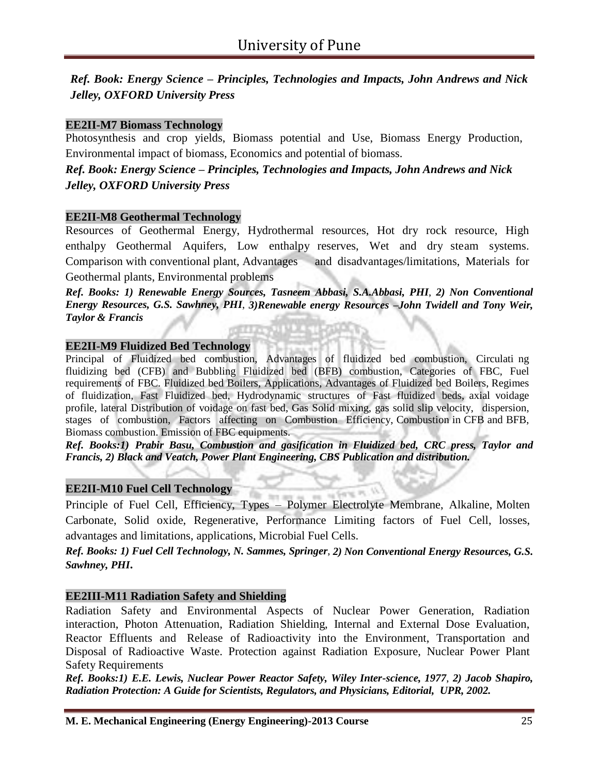*Ref. Book: Energy Science – Principles, Technologies and Impacts, John Andrews and Nick Jelley, OXFORD University Press*

#### **EE2II-M7 Biomass Technology**

Photosynthesis and crop yields, Biomass potential and Use, Biomass Energy Production, Environmental impact of biomass, Economics and potential of biomass.

*Ref. Book: Energy Science – Principles, Technologies and Impacts, John Andrews and Nick Jelley, OXFORD University Press*

#### **EE2II-M8 Geothermal Technology**

Resources of Geothermal Energy, Hydrothermal resources, Hot dry rock resource, High enthalpy Geothermal Aquifers, Low enthalpy reserves, Wet and dry steam systems. Comparison with conventional plant, Advantages and disadvantages/limitations, Materials for Geothermal plants, Environmental problems

*Ref. Books: 1) Renewable Energy Sources, Tasneem Abbasi, S.A.Abbasi, PHI*, *2) Non Conventional Energy Resources, G.S. Sawhney, PHI*, *3)Renewable energy Resources –John Twidell and Tony Weir, Taylor & Francis*

#### **EE2II-M9 Fluidized Bed Technology**

Principal of Fluidized bed combustion, Advantages of fluidized bed combustion, Circulati ng fluidizing bed (CFB) and Bubbling Fluidized bed (BFB) combustion, Categories of FBC, Fuel requirements of FBC. Fluidized bed Boilers, Applications, Advantages of Fluidized bed Boilers, Regimes of fluidization, Fast Fluidized bed, Hydrodynamic structures of Fast fluidized beds, axial voidage profile, lateral Distribution of voidage on fast bed, Gas Solid mixing, gas solid slip velocity, dispersion, stages of combustion, Factors affecting on Combustion Efficiency, Combustion in CFB and BFB, Biomass combustion. Emission of FBC equipments.

*Ref. Books:1) Prabir Basu, Combustion and gasification in Fluidized bed, CRC press, Taylor and Francis, 2) Black and Veatch, Power Plant Engineering, CBS Publication and distribution.*

#### **EE2II-M10 Fuel Cell Technology**

Principle of Fuel Cell, Efficiency, Types – Polymer Electrolyte Membrane, Alkaline, Molten Carbonate, Solid oxide, Regenerative, Performance Limiting factors of Fuel Cell, losses, advantages and limitations, applications, Microbial Fuel Cells.

*Ref. Books: 1) Fuel Cell Technology, N. Sammes, Springer*, *2) Non Conventional Energy Resources, G.S. Sawhney, PHI.*

#### **EE2III-M11 Radiation Safety and Shielding**

Radiation Safety and Environmental Aspects of Nuclear Power Generation, Radiation interaction, Photon Attenuation, Radiation Shielding, Internal and External Dose Evaluation, Reactor Effluents and Release of Radioactivity into the Environment, Transportation and Disposal of Radioactive Waste. Protection against Radiation Exposure, Nuclear Power Plant Safety Requirements

*Ref. Books:1) E.E. Lewis, Nuclear Power Reactor Safety, Wiley Inter-science, 1977*, *2) Jacob Shapiro, Radiation Protection: A Guide for Scientists, Regulators, and Physicians, Editorial, UPR, 2002.*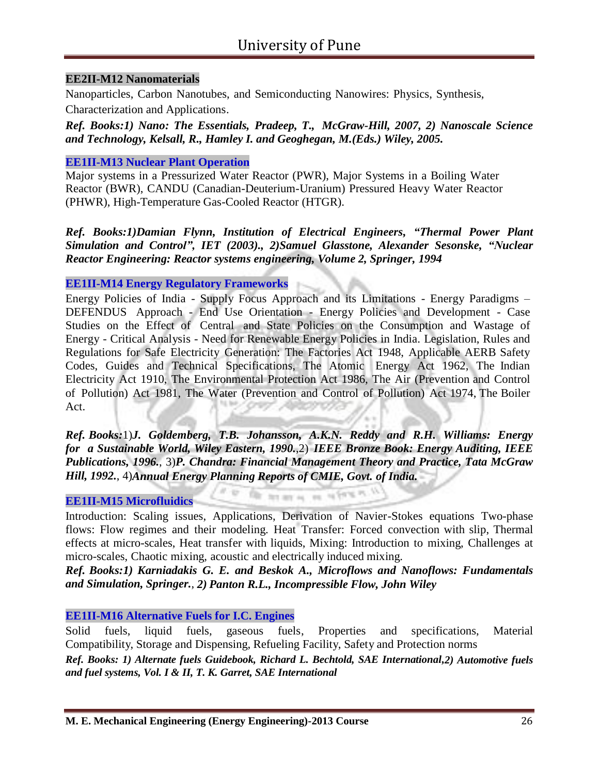#### **EE2II-M12 Nanomaterials**

Nanoparticles, Carbon Nanotubes, and Semiconducting Nanowires: Physics, Synthesis,

Characterization and Applications.

*Ref. Books:1) Nano: The Essentials, Pradeep, T., McGraw-Hill, 2007, 2) Nanoscale Science and Technology, Kelsall, R., Hamley I. and Geoghegan, M.(Eds.) Wiley, 2005.*

#### **EE1II-M13 Nuclear Plant Operation**

Major systems in a Pressurized Water Reactor (PWR), Major Systems in a Boiling Water Reactor (BWR), CANDU (Canadian-Deuterium-Uranium) Pressured Heavy Water Reactor (PHWR), High-Temperature Gas-Cooled Reactor (HTGR).

*Ref. Books:1)Damian Flynn, Institution of Electrical Engineers, "Thermal Power Plant Simulation and Control", IET (2003)., 2)Samuel Glasstone, Alexander Sesonske, "Nuclear Reactor Engineering: Reactor systems engineering, Volume 2, Springer, 1994*

#### **EE1II-M14 Energy Regulatory Frameworks**

Energy Policies of India - Supply Focus Approach and its Limitations - Energy Paradigms – DEFENDUS Approach - End Use Orientation - Energy Policies and Development - Case Studies on the Effect of Central and State Policies on the Consumption and Wastage of Energy - Critical Analysis - Need for Renewable Energy Policies in India. Legislation, Rules and Regulations for Safe Electricity Generation: The Factories Act 1948, Applicable AERB Safety Codes, Guides and Technical Specifications, The Atomic Energy Act 1962, The Indian Electricity Act 1910, The Environmental Protection Act 1986, The Air (Prevention and Control of Pollution) Act 1981, The Water (Prevention and Control of Pollution) Act 1974, The Boiler Act.

*Ref. Books:*1)*J. Goldemberg, T.B. Johansson, A.K.N. Reddy and R.H. Williams: Energy for a Sustainable World, Wiley Eastern, 1990.*,2) *IEEE Bronze Book: Energy Auditing, IEEE Publications, 1996.*, 3)*P. Chandra: Financial Management Theory and Practice, Tata McGraw Hill, 1992.*, 4)*Annual Energy Planning Reports of CMIE, Govt. of India.*

Of an av as an output in

#### **EE1II-M15 Microfluidics**

Introduction: Scaling issues, Applications, Derivation of Navier-Stokes equations Two-phase flows: Flow regimes and their modeling. Heat Transfer: Forced convection with slip, Thermal effects at micro-scales, Heat transfer with liquids, Mixing: Introduction to mixing, Challenges at micro-scales, Chaotic mixing, acoustic and electrically induced mixing.

*Ref. Books:1) Karniadakis G. E. and Beskok A., Microflows and Nanoflows: Fundamentals and Simulation, Springer.*, *2) Panton R.L., Incompressible Flow, John Wiley*

#### **EE1II-M16 Alternative Fuels for I.C. Engines**

Solid fuels, liquid fuels, gaseous fuels, Properties and specifications, Material Compatibility, Storage and Dispensing, Refueling Facility, Safety and Protection norms

*Ref. Books: 1) Alternate fuels Guidebook, Richard L. Bechtold, SAE International,2) Automotive fuels and fuel systems, Vol. I & II, T. K. Garret, SAE International*

11.16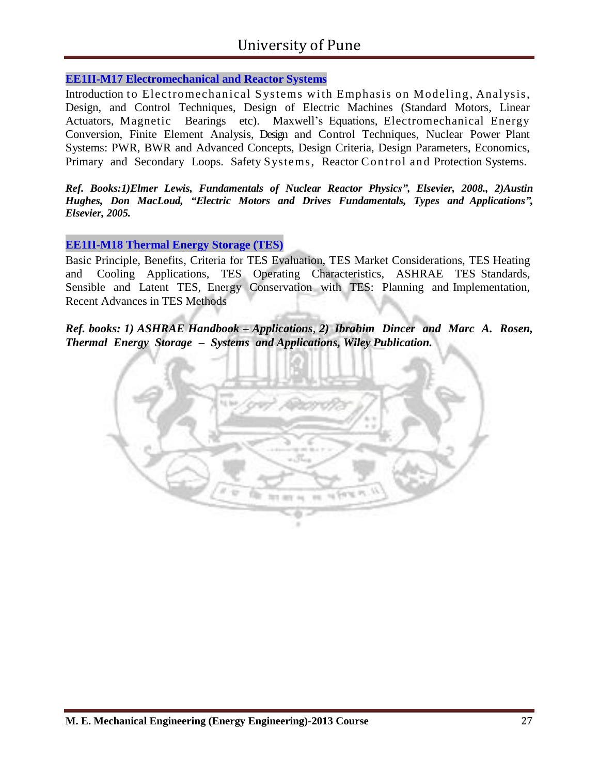#### **EE1II-M17 Electromechanical and Reactor Systems**

Introduction to Electromechanical Systems with Emphasis on Modeling, Analysis, Design, and Control Techniques, Design of Electric Machines (Standard Motors, Linear Actuators, Magnetic Bearings etc). Maxwell's Equations, Electromechanical Energy Conversion, Finite Element Analysis, Design and Control Techniques, Nuclear Power Plant Systems: PWR, BWR and Advanced Concepts, Design Criteria, Design Parameters, Economics, Primary and Secondary Loops. Safety Systems, Reactor Control and Protection Systems.

*Ref. Books:1)Elmer Lewis, Fundamentals of Nuclear Reactor Physics", Elsevier, 2008., 2)Austin Hughes, Don MacLoud, "Electric Motors and Drives Fundamentals, Types and Applications", Elsevier, 2005.*

#### **EE1II-M18 Thermal Energy Storage (TES)**

Basic Principle, Benefits, Criteria for TES Evaluation, TES Market Considerations, TES Heating and Cooling Applications, TES Operating Characteristics, ASHRAE TES Standards, Sensible and Latent TES, Energy Conservation with TES: Planning and Implementation, Recent Advances in TES Methods

*Ref. books: 1) ASHRAE Handbook – Applications*, *2) Ibrahim Dincer and Marc A. Rosen, Thermal Energy Storage – Systems and Applications, Wiley Publication.*

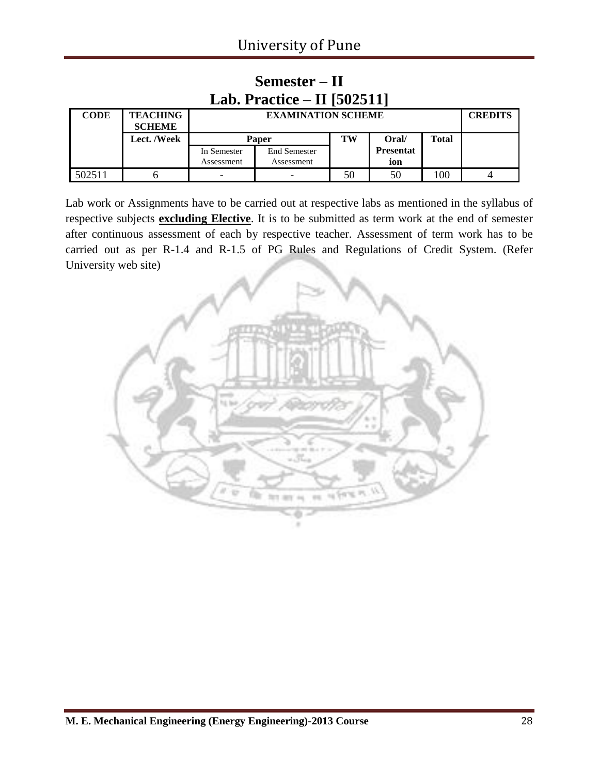| Lab. Practice $-$ II [502511] |                                  |              |                           |    |                  |       |  |  |
|-------------------------------|----------------------------------|--------------|---------------------------|----|------------------|-------|--|--|
| <b>CODE</b>                   | <b>TEACHING</b><br><b>SCHEME</b> |              | <b>EXAMINATION SCHEME</b> |    |                  |       |  |  |
|                               | Lect. /Week                      | <b>Paper</b> |                           | TW | Oral/            | Total |  |  |
|                               |                                  | In Semester  | <b>End Semester</b>       |    | <b>Presentat</b> |       |  |  |
|                               |                                  | Assessment   | Assessment                |    | ion              |       |  |  |
| 502511                        |                                  | -            |                           | 50 | 50               | 100   |  |  |

# **Semester – II**

Lab work or Assignments have to be carried out at respective labs as mentioned in the syllabus of respective subjects **excluding Elective**. It is to be submitted as term work at the end of semester after continuous assessment of each by respective teacher. Assessment of term work has to be carried out as per R-1.4 and R-1.5 of PG Rules and Regulations of Credit System. (Refer University web site)

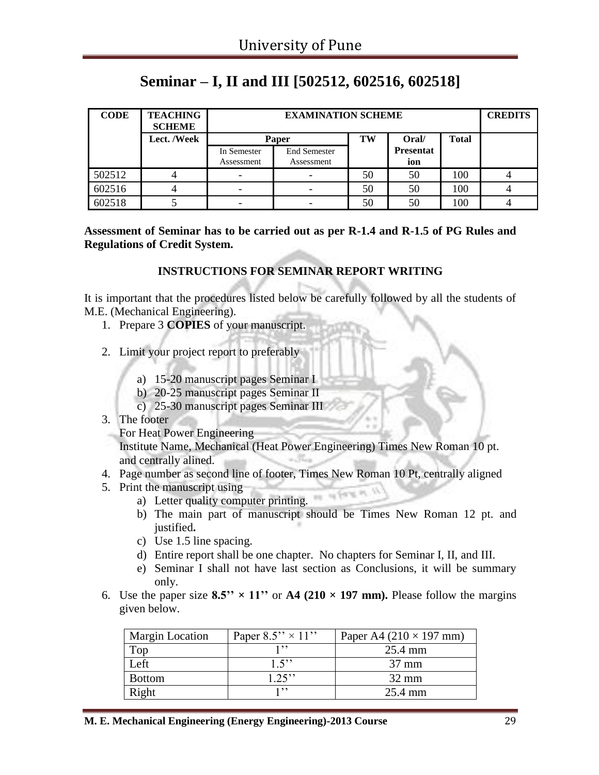### **Seminar – I, II and III [502512, 602516, 602518]**

| <b>CODE</b> | <b>TEACHING</b><br><b>SCHEME</b> |                           | <b>EXAMINATION SCHEME</b>            |    |                         |     |  |  |
|-------------|----------------------------------|---------------------------|--------------------------------------|----|-------------------------|-----|--|--|
|             | <b>Lect. /Week</b>               |                           | TW<br>Oral/<br><b>Total</b><br>Paper |    |                         |     |  |  |
|             |                                  | In Semester<br>Assessment | <b>End Semester</b><br>Assessment    |    | <b>Presentat</b><br>ion |     |  |  |
| 502512      |                                  | $\overline{\phantom{0}}$  |                                      | 50 | 50                      | 100 |  |  |
| 602516      |                                  | $\overline{\phantom{0}}$  |                                      | 50 | 50                      | 100 |  |  |
| 602518      |                                  | -                         |                                      | 50 | 50                      | 100 |  |  |

**Assessment of Seminar has to be carried out as per R-1.4 and R-1.5 of PG Rules and Regulations of Credit System.**

#### **INSTRUCTIONS FOR SEMINAR REPORT WRITING**

It is important that the procedures listed below be carefully followed by all the students of M.E. (Mechanical Engineering).

- 1. Prepare 3 **COPIES** of your manuscript.
- 2. Limit your project report to preferably
	- a) 15-20 manuscript pages Seminar I
	- b) 20-25 manuscript pages Seminar II
	- c) 25-30 manuscript pages Seminar III
- 3. The footer
	- For Heat Power Engineering

Institute Name, Mechanical (Heat Power Engineering) Times New Roman 10 pt. and centrally alined.

- 4. Page number as second line of footer, Times New Roman 10 Pt, centrally aligned
- 5. Print the manuscript using
	- a) Letter quality computer printing.
	- b) The main part of manuscript should be Times New Roman 12 pt. and justified**.**
	- c) Use 1.5 line spacing.
	- d) Entire report shall be one chapter. No chapters for Seminar I, II, and III.
	- e) Seminar I shall not have last section as Conclusions, it will be summary only.
- 6. Use the paper size  $8.5$ "  $\times$  11" or A4 (210  $\times$  197 mm). Please follow the margins given below.

| <b>Margin Location</b> | Paper $8.5'' \times 11''$ | Paper A4 $(210 \times 197$ mm) |
|------------------------|---------------------------|--------------------------------|
| Top                    | 1, ? ?                    | 25.4 mm                        |
| Left                   | 1.5                       | $37 \text{ mm}$                |
| <b>Bottom</b>          | $1.25$ "                  | $32 \text{ mm}$                |
| Right                  | 1, 1, 1                   | 25.4 mm                        |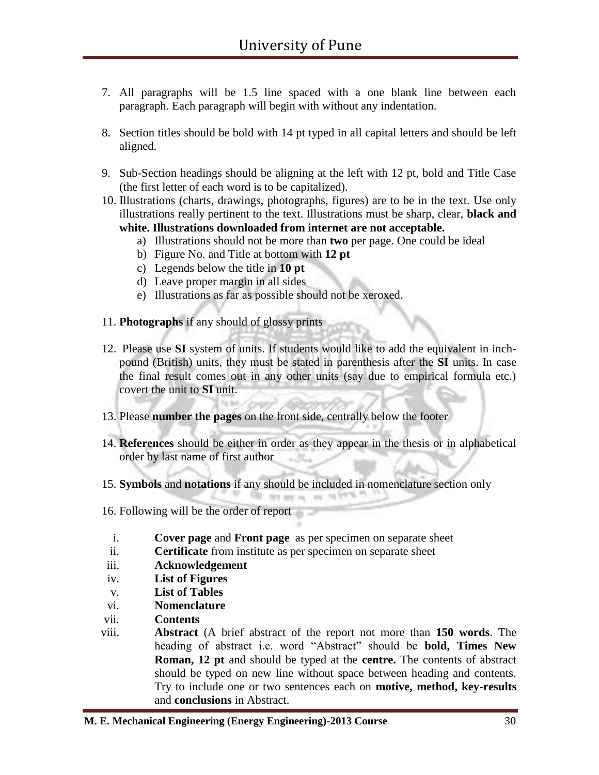- 7. All paragraphs will be 1.5 line spaced with a one blank line between each paragraph. Each paragraph will begin with without any indentation.
- 8. Section titles should be bold with 14 pt typed in all capital letters and should be left aligned.
- 9. Sub-Section headings should be aligning at the left with 12 pt, bold and Title Case (the first letter of each word is to be capitalized).
- 10. Illustrations (charts, drawings, photographs, figures) are to be in the text. Use only illustrations really pertinent to the text. Illustrations must be sharp, clear, **black and white. Illustrations downloaded from internet are not acceptable.** 
	- a) Illustrations should not be more than **two** per page. One could be ideal
	- b) Figure No. and Title at bottom with **12 pt**
	- c) Legends below the title in **10 pt**
	- d) Leave proper margin in all sides
	- e) Illustrations as far as possible should not be xeroxed.
- 11. **Photographs** if any should of glossy prints
- 12. Please use **SI** system of units. If students would like to add the equivalent in inchpound (British) units, they must be stated in parenthesis after the **SI** units. In case the final result comes out in any other units (say due to empirical formula etc.) covert the unit to **SI** unit.
- 13. Please **number the pages** on the front side, centrally below the footer
- 14. **References** should be either in order as they appear in the thesis or in alphabetical order by last name of first author
- 15. **Symbols** and **notations** if any should be included in nomenclature section only
- 16. Following will be the order of report
	- i. **Cover page** and **Front page** as per specimen on separate sheet
	- ii. **Certificate** from institute as per specimen on separate sheet
- iii. **Acknowledgement**
- iv. **List of Figures**
- v. **List of Tables**
- vi. **Nomenclature**
- vii. **Contents**
- viii. **Abstract** (A brief abstract of the report not more than **150 words**. The heading of abstract i.e. word "Abstract" should be **bold, Times New Roman, 12 pt** and should be typed at the **centre.** The contents of abstract should be typed on new line without space between heading and contents. Try to include one or two sentences each on **motive, method, key-results** and **conclusions** in Abstract.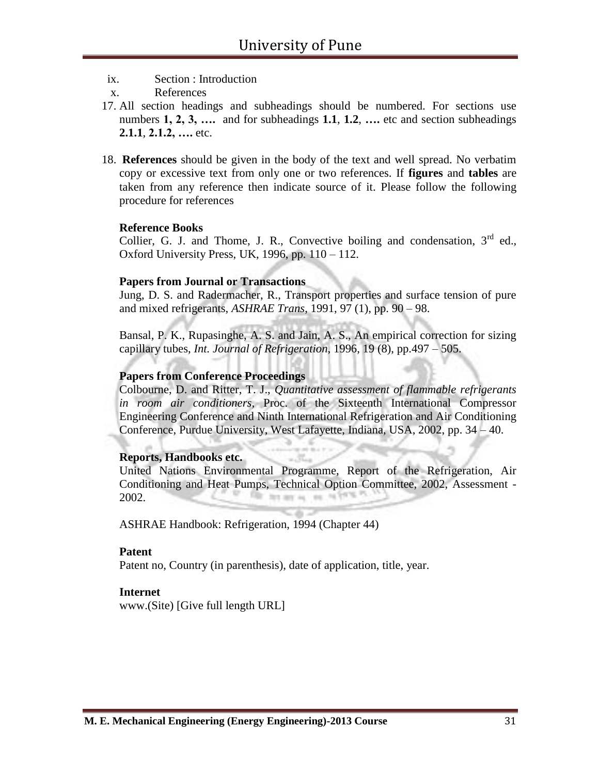- ix. Section : Introduction
- x. References
- 17. All section headings and subheadings should be numbered. For sections use numbers **1, 2, 3, ….** and for subheadings **1.1**, **1.2**, **….** etc and section subheadings **2.1.1**, **2.1.2, ….** etc.
- 18. **References** should be given in the body of the text and well spread. No verbatim copy or excessive text from only one or two references. If **figures** and **tables** are taken from any reference then indicate source of it. Please follow the following procedure for references

#### **Reference Books**

Collier, G. J. and Thome, J. R., Convective boiling and condensation,  $3<sup>rd</sup>$  ed., Oxford University Press, UK, 1996, pp.  $110 - 112$ .

#### **Papers from Journal or Transactions**

Jung, D. S. and Radermacher, R., Transport properties and surface tension of pure and mixed refrigerants, *ASHRAE Trans*, 1991, 97 (1), pp. 90 – 98.

Bansal, P. K., Rupasinghe, A. S. and Jain, A. S., An empirical correction for sizing capillary tubes, *Int. Journal of Refrigeration*, 1996, 19 (8), pp.497 – 505.

#### **Papers from Conference Proceedings**

Colbourne, D. and Ritter, T. J., *Quantitative assessment of flammable refrigerants in room air conditioners*, Proc. of the Sixteenth International Compressor Engineering Conference and Ninth International Refrigeration and Air Conditioning Conference, Purdue University, West Lafayette, Indiana, USA, 2002, pp. 34 – 40.

#### **Reports, Handbooks etc.**

United Nations Environmental Programme, Report of the Refrigeration, Air Conditioning and Heat Pumps, Technical Option Committee, 2002, Assessment - 2002. Filly, fars any ou  $\sim$ na Trill

ASHRAE Handbook: Refrigeration, 1994 (Chapter 44)

#### **Patent**

Patent no, Country (in parenthesis), date of application, title, year.

#### **Internet**

www.(Site) [Give full length URL]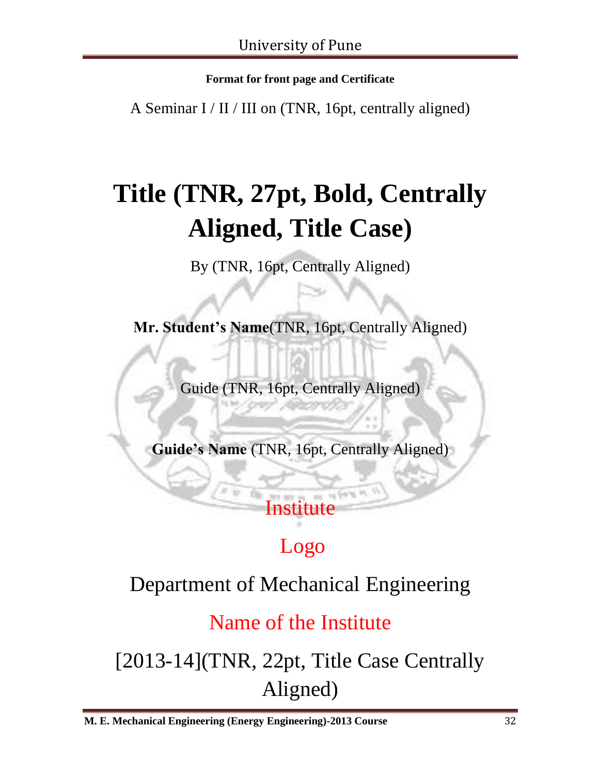**Format for front page and Certificate**

A Seminar I / II / III on (TNR, 16pt, centrally aligned)

# **Title (TNR, 27pt, Bold, Centrally Aligned, Title Case)**

By (TNR, 16pt, Centrally Aligned)

**Mr. Student's Name**(TNR, 16pt, Centrally Aligned)

Guide (TNR, 16pt, Centrally Aligned)

**Guide's Name** (TNR, 16pt, Centrally Aligned)

# Institute

# Logo

# Department of Mechanical Engineering

## Name of the Institute

[2013-14](TNR, 22pt, Title Case Centrally Aligned)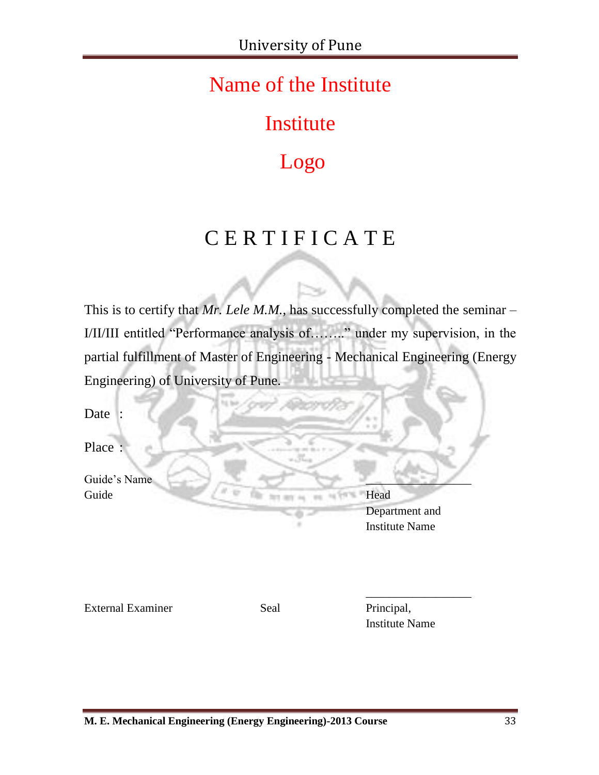## Name of the Institute

# Institute

# Logo

# C E R T I F I C A T E

This is to certify that *Mr. Lele M.M.*, has successfully completed the seminar – I/II/III entitled "Performance analysis of…….." under my supervision, in the partial fulfillment of Master of Engineering - Mechanical Engineering (Energy Engineering) of University of Pune.

Date :

Place :

Guide's Name Guide Head

Department and Institute Name

External Examiner Seal Principal,

Institute Name

\_\_\_\_\_\_\_\_\_\_\_\_\_\_\_\_\_\_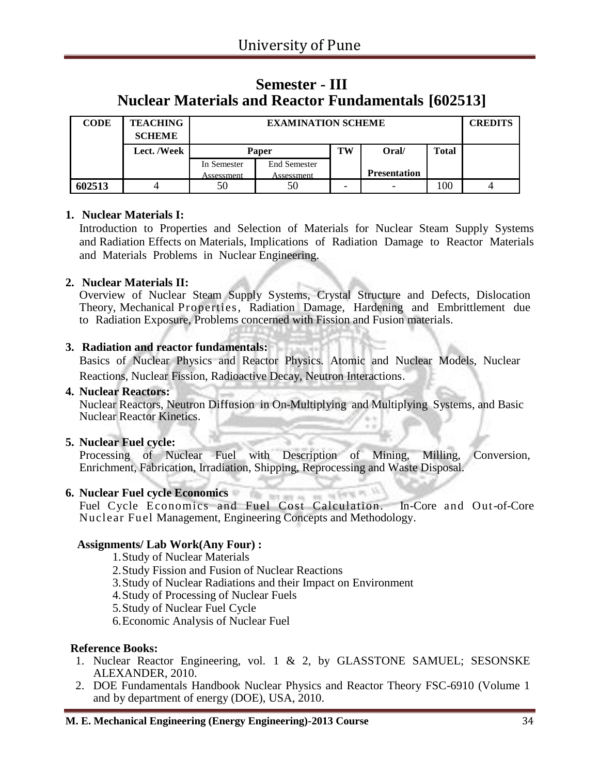### **Semester - III Nuclear Materials and Reactor Fundamentals [602513]**

| <b>CODE</b> | <b>TEACHING</b><br><b>SCHEME</b> |             | <b>EXAMINATION SCHEME</b> |    |                     |              | <b>CREDITS</b> |
|-------------|----------------------------------|-------------|---------------------------|----|---------------------|--------------|----------------|
|             | Lect. /Week                      | Paper       |                           | TW | Oral/               | <b>Total</b> |                |
|             |                                  | In Semester | <b>End Semester</b>       |    |                     |              |                |
|             |                                  | Assessment  | Assessment                |    | <b>Presentation</b> |              |                |
| 602513      |                                  | 50          | 50                        | -  | -                   | 100          |                |

#### **1. Nuclear Materials I:**

Introduction to Properties and Selection of Materials for Nuclear Steam Supply Systems and Radiation Effects on Materials, Implications of Radiation Damage to Reactor Materials and Materials Problems in Nuclear Engineering.

#### **2. Nuclear Materials II:**

Overview of Nuclear Steam Supply Systems, Crystal Structure and Defects, Dislocation Theory, Mechanical Properties, Radiation Damage, Hardening and Embrittlement due to Radiation Exposure, Problems concerned with Fission and Fusion materials.

#### **3. Radiation and reactor fundamentals:**

Basics of Nuclear Physics and Reactor Physics. Atomic and Nuclear Models, Nuclear Reactions, Nuclear Fission, Radioactive Decay, Neutron Interactions.

#### **4. Nuclear Reactors:**

Nuclear Reactors, Neutron Diffusion in On-Multiplying and Multiplying Systems, and Basic Nuclear Reactor Kinetics.

#### **5. Nuclear Fuel cycle:**

Processing of Nuclear Fuel with Description of Mining, Milling, Conversion, Enrichment, Fabrication, Irradiation, Shipping, Reprocessing and Waste Disposal.

### **6. Nuclear Fuel cycle Economics**

Fuel Cycle Economics and Fuel Cost Calculation. In-Core and Out-of-Core Nuclear Fuel Management, Engineering Concepts and Methodology.

#### **Assignments/ Lab Work(Any Four) :**

- 1.Study of Nuclear Materials
- 2.Study Fission and Fusion of Nuclear Reactions
- 3.Study of Nuclear Radiations and their Impact on Environment
- 4.Study of Processing of Nuclear Fuels
- 5.Study of Nuclear Fuel Cycle
- 6.Economic Analysis of Nuclear Fuel

#### **Reference Books:**

- 1. Nuclear Reactor Engineering, vol. 1 & 2, by GLASSTONE SAMUEL; SESONSKE ALEXANDER, 2010.
- 2. DOE Fundamentals Handbook Nuclear Physics and Reactor Theory FSC-6910 (Volume 1 and by department of energy (DOE), USA, 2010.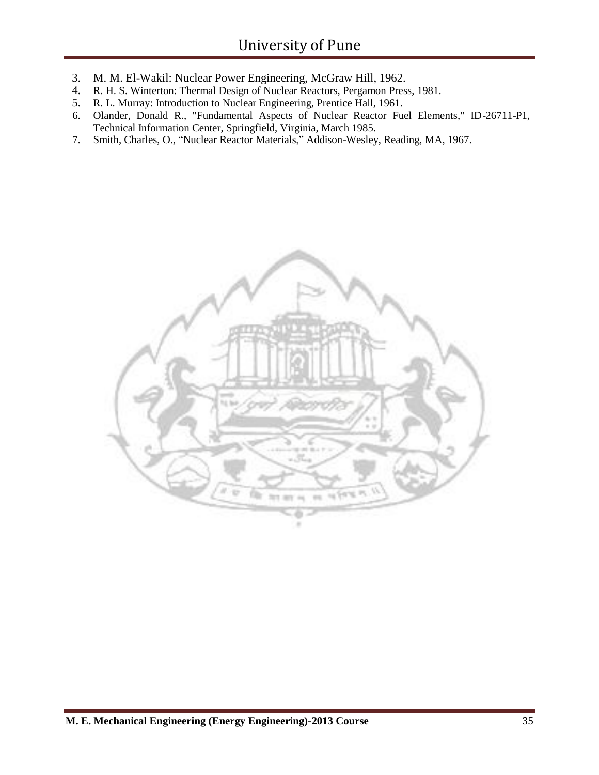- 3. M. M. El-Wakil: Nuclear Power Engineering, McGraw Hill, 1962.
- 4. R. H. S. Winterton: Thermal Design of Nuclear Reactors, Pergamon Press, 1981.
- 5. R. L. Murray: Introduction to Nuclear Engineering, Prentice Hall, 1961.
- 6. Olander, Donald R., "Fundamental Aspects of Nuclear Reactor Fuel Elements," ID-26711-P1, Technical Information Center, Springfield, Virginia, March 1985.
- 7. Smith, Charles, O., "Nuclear Reactor Materials," Addison-Wesley, Reading, MA, 1967.

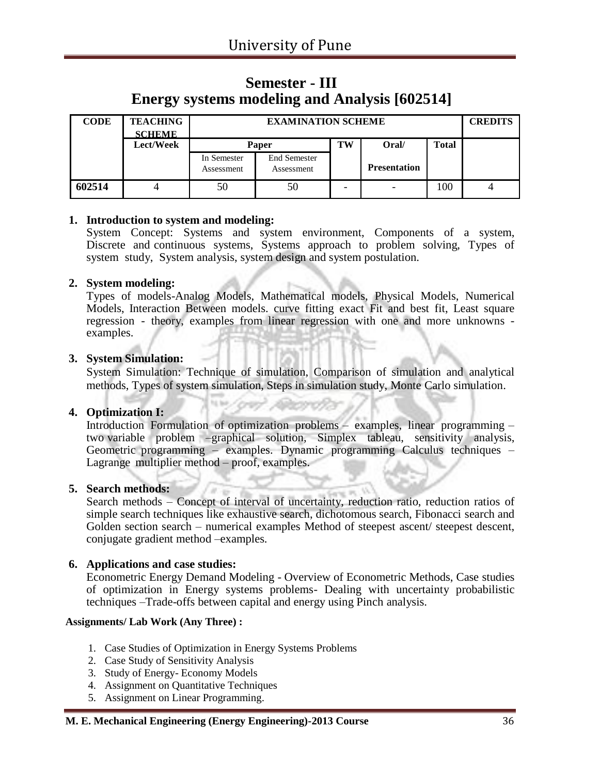### **Semester - III Energy systems modeling and Analysis [602514]**

| <b>CODE</b> | <b>TEACHING</b><br><b>SCHEME</b> |                           | <b>CREDITS</b>                    |    |                     |              |  |
|-------------|----------------------------------|---------------------------|-----------------------------------|----|---------------------|--------------|--|
|             | Lect/Week                        |                           | Paper                             | TW | Oral/               | <b>Total</b> |  |
|             |                                  | In Semester<br>Assessment | <b>End Semester</b><br>Assessment |    | <b>Presentation</b> |              |  |
| 602514      |                                  | 50                        | 50                                |    |                     | 100          |  |

#### **1. Introduction to system and modeling:**

System Concept: Systems and system environment, Components of a system, Discrete and continuous systems, Systems approach to problem solving, Types of system study, System analysis, system design and system postulation.

#### **2. System modeling:**

Types of models-Analog Models, Mathematical models, Physical Models, Numerical Models, Interaction Between models. curve fitting exact Fit and best fit, Least square regression - theory, examples from linear regression with one and more unknowns examples.

#### **3. System Simulation:**

System Simulation: Technique of simulation, Comparison of simulation and analytical methods, Types of system simulation, Steps in simulation study, Monte Carlo simulation.

#### **4. Optimization I:**

Introduction Formulation of optimization problems – examples, linear programming – two variable problem –graphical solution, Simplex tableau, sensitivity analysis, Geometric programming – examples. Dynamic programming Calculus techniques – Lagrange multiplier method – proof, examples.

#### **5. Search methods:**

Search methods – Concept of interval of uncertainty, reduction ratio, reduction ratios of simple search techniques like exhaustive search, dichotomous search, Fibonacci search and Golden section search – numerical examples Method of steepest ascent/ steepest descent, conjugate gradient method –examples.

#### **6. Applications and case studies:**

Econometric Energy Demand Modeling - Overview of Econometric Methods, Case studies of optimization in Energy systems problems- Dealing with uncertainty probabilistic techniques –Trade-offs between capital and energy using Pinch analysis.

#### **Assignments/ Lab Work (Any Three) :**

- 1. Case Studies of Optimization in Energy Systems Problems
- 2. Case Study of Sensitivity Analysis
- 3. Study of Energy- Economy Models
- 4. Assignment on Quantitative Techniques
- 5. Assignment on Linear Programming.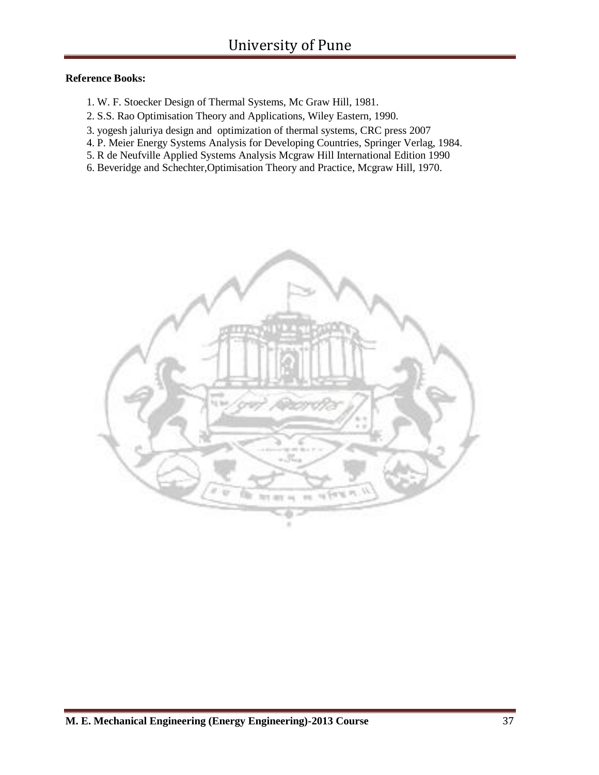#### **Reference Books:**

- 1. W. F. Stoecker Design of Thermal Systems, Mc Graw Hill, 1981.
- 2. S.S. Rao Optimisation Theory and Applications, Wiley Eastern, 1990.
- 3. yogesh jaluriya design and optimization of thermal systems, CRC press 2007
- 4. P. Meier Energy Systems Analysis for Developing Countries, Springer Verlag, 1984.
- 5. R de Neufville Applied Systems Analysis Mcgraw Hill International Edition 1990
- 6. Beveridge and Schechter,Optimisation Theory and Practice, Mcgraw Hill, 1970.

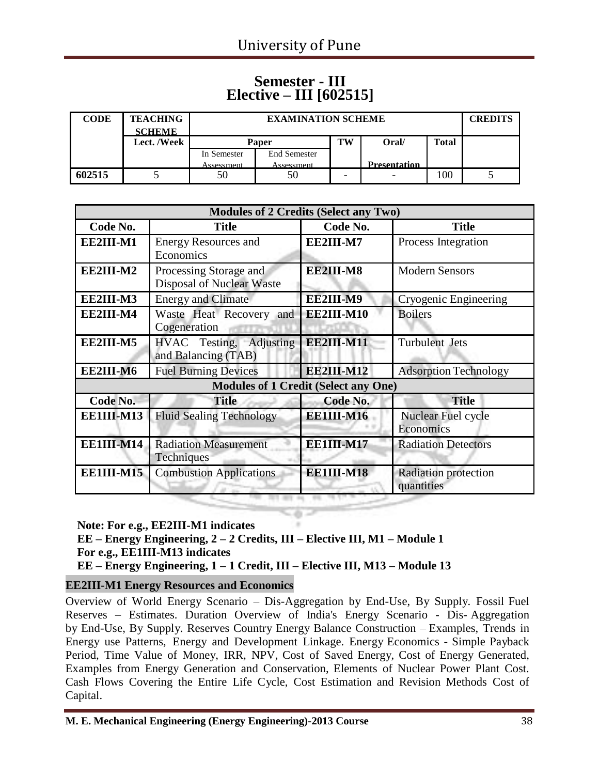#### **Semester - III Elective – III [602515]**

| <b>CODE</b> | <b>TEACHING</b><br><b>SCHEME</b> |              | <b>EXAMINATION SCHEME</b> |                          |                     |              |  |
|-------------|----------------------------------|--------------|---------------------------|--------------------------|---------------------|--------------|--|
|             | Lect. /Week                      | <b>Paper</b> |                           | TW                       | Oral/               | <b>Total</b> |  |
|             |                                  | In Semester  | <b>End Semester</b>       |                          |                     |              |  |
|             |                                  | Assessment   | Assessment                |                          | <b>Presentation</b> |              |  |
| 602515      |                                  | 50           | 50                        | $\overline{\phantom{0}}$ | ۰                   | 100          |  |

|            | <b>Modules of 2 Credits (Select any Two)</b>        |            |                                    |
|------------|-----------------------------------------------------|------------|------------------------------------|
| Code No.   | <b>Title</b>                                        | Code No.   | <b>Title</b>                       |
| EE2III-M1  | <b>Energy Resources and</b><br>Economics            | EE2III-M7  | Process Integration                |
| EE2III-M2  | Processing Storage and<br>Disposal of Nuclear Waste | EE2III-M8  | <b>Modern Sensors</b>              |
| EE2III-M3  | <b>Energy and Climate</b>                           | EE2III-M9  | Cryogenic Engineering              |
| EE2III-M4  | Waste Heat Recovery and<br>Cogeneration             | EE2III-M10 | <b>Boilers</b>                     |
| EE2III-M5  | HVAC Testing, Adjusting<br>and Balancing (TAB)      | EE2III-M11 | <b>Turbulent Jets</b>              |
| EE2III-M6  | <b>Fuel Burning Devices</b>                         | EE2III-M12 | <b>Adsorption Technology</b>       |
|            | <b>Modules of 1 Credit (Select any One)</b>         |            |                                    |
| Code No.   | <b>Title</b>                                        | Code No.   | <b>Title</b>                       |
| EE1III-M13 | <b>Fluid Sealing Technology</b>                     | EE1III-M16 | Nuclear Fuel cycle<br>Economics    |
| EE1III-M14 | <b>Radiation Measurement</b><br>Techniques          | EE1III-M17 | <b>Radiation Detectors</b>         |
| EE1III-M15 | <b>Combustion Applications</b>                      | EE1III-M18 | Radiation protection<br>quantities |

**Note: For e.g., EE2III-M1 indicates EE – Energy Engineering, 2 – 2 Credits, III – Elective III, M1 – Module 1 For e.g., EE1III-M13 indicates EE – Energy Engineering, 1 – 1 Credit, III – Elective III, M13 – Module 13**

#### **EE2III-M1 Energy Resources and Economics**

Overview of World Energy Scenario – Dis-Aggregation by End-Use, By Supply. Fossil Fuel Reserves – Estimates. Duration Overview of India's Energy Scenario - Dis- Aggregation by End-Use, By Supply. Reserves Country Energy Balance Construction – Examples, Trends in Energy use Patterns, Energy and Development Linkage. Energy Economics - Simple Payback Period, Time Value of Money, IRR, NPV, Cost of Saved Energy, Cost of Energy Generated, Examples from Energy Generation and Conservation, Elements of Nuclear Power Plant Cost. Cash Flows Covering the Entire Life Cycle, Cost Estimation and Revision Methods Cost of Capital.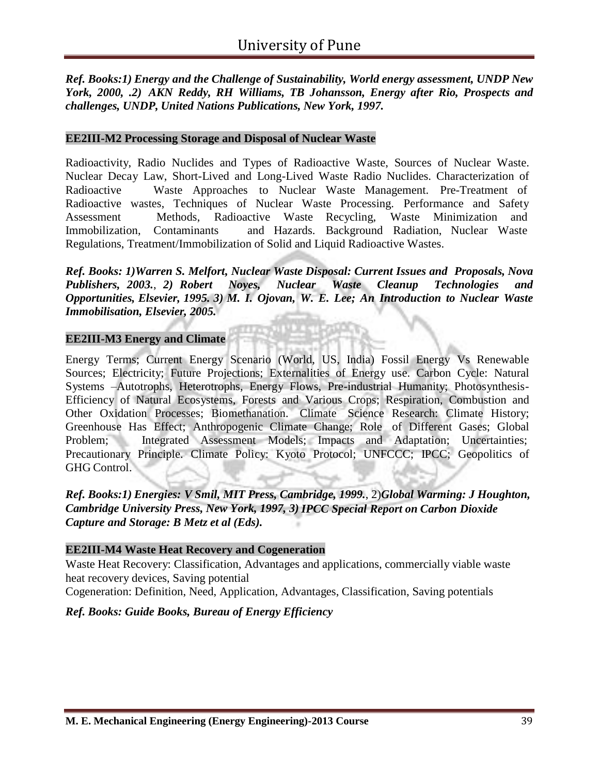*Ref. Books:1) Energy and the Challenge of Sustainability, World energy assessment, UNDP New York, 2000, .2) AKN Reddy, RH Williams, TB Johansson, Energy after Rio, Prospects and challenges, UNDP, United Nations Publications, New York, 1997.*

#### **EE2III-M2 Processing Storage and Disposal of Nuclear Waste**

Radioactivity, Radio Nuclides and Types of Radioactive Waste, Sources of Nuclear Waste. Nuclear Decay Law, Short-Lived and Long-Lived Waste Radio Nuclides. Characterization of Radioactive Waste Approaches to Nuclear Waste Management. Pre-Treatment of Radioactive wastes, Techniques of Nuclear Waste Processing. Performance and Safety Assessment Methods, Radioactive Waste Recycling, Waste Minimization and Immobilization, Contaminants and Hazards. Background Radiation, Nuclear Waste Regulations, Treatment/Immobilization of Solid and Liquid Radioactive Wastes.

*Ref. Books: 1)Warren S. Melfort, Nuclear Waste Disposal: Current Issues and Proposals, Nova Publishers, 2003.*, *2) Robert Noyes, Nuclear Waste Cleanup Technologies and Opportunities, Elsevier, 1995. 3) M. I. Ojovan, W. E. Lee; An Introduction to Nuclear Waste Immobilisation, Elsevier, 2005.*

#### **EE2III-M3 Energy and Climate**

Energy Terms; Current Energy Scenario (World, US, India) Fossil Energy Vs Renewable Sources; Electricity; Future Projections; Externalities of Energy use. Carbon Cycle: Natural Systems –Autotrophs, Heterotrophs, Energy Flows, Pre-industrial Humanity; Photosynthesis-Efficiency of Natural Ecosystems, Forests and Various Crops; Respiration, Combustion and Other Oxidation Processes; Biomethanation. Climate Science Research: Climate History; Greenhouse Has Effect; Anthropogenic Climate Change; Role of Different Gases; Global Problem; Integrated Assessment Models; Impacts and Adaptation; Uncertainties; Precautionary Principle. Climate Policy: Kyoto Protocol; UNFCCC; IPCC; Geopolitics of GHG Control.

*Ref. Books:1) Energies: V Smil, MIT Press, Cambridge, 1999.*, 2)*Global Warming: J Houghton, Cambridge University Press, New York, 1997, 3) IPCC Special Report on Carbon Dioxide Capture and Storage: B Metz et al (Eds).*

#### **EE2III-M4 Waste Heat Recovery and Cogeneration**

Waste Heat Recovery: Classification, Advantages and applications, commercially viable waste heat recovery devices, Saving potential

Cogeneration: Definition, Need, Application, Advantages, Classification, Saving potentials

#### *Ref. Books: Guide Books, Bureau of Energy Efficiency*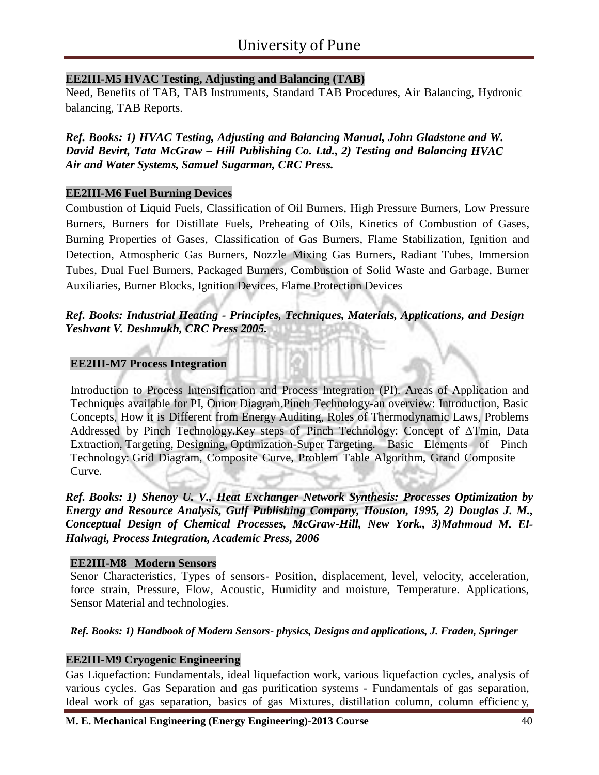#### **EE2III-M5 HVAC Testing, Adjusting and Balancing (TAB)**

Need, Benefits of TAB, TAB Instruments, Standard TAB Procedures, Air Balancing, Hydronic balancing, TAB Reports.

*Ref. Books: 1) HVAC Testing, Adjusting and Balancing Manual, John Gladstone and W. David Bevirt, Tata McGraw – Hill Publishing Co. Ltd., 2) Testing and Balancing HVAC Air and Water Systems, Samuel Sugarman, CRC Press.*

#### **EE2III-M6 Fuel Burning Devices**

Combustion of Liquid Fuels, Classification of Oil Burners, High Pressure Burners, Low Pressure Burners, Burners for Distillate Fuels, Preheating of Oils, Kinetics of Combustion of Gases, Burning Properties of Gases, Classification of Gas Burners, Flame Stabilization, Ignition and Detection, Atmospheric Gas Burners, Nozzle Mixing Gas Burners, Radiant Tubes, Immersion Tubes, Dual Fuel Burners, Packaged Burners, Combustion of Solid Waste and Garbage, Burner Auxiliaries, Burner Blocks, Ignition Devices, Flame Protection Devices

#### *Ref. Books: Industrial Heating - Principles, Techniques, Materials, Applications, and Design Yeshvant V. Deshmukh, CRC Press 2005.*

#### **EE2III-M7 Process Integration**

Introduction to Process Intensification and Process Integration (PI). Areas of Application and Techniques available for PI, Onion Diagram.Pinch Technology-an overview: Introduction, Basic Concepts, How it is Different from Energy Auditing, Roles of Thermodynamic Laws, Problems Addressed by Pinch Technology.Key steps of Pinch Technology: Concept of ΔTmin, Data Extraction, Targeting, Designing, Optimization-Super Targeting. Basic Elements of Pinch Technology: Grid Diagram, Composite Curve, Problem Table Algorithm, Grand Composite Curve.

*Ref. Books: 1) Shenoy U. V., Heat Exchanger Network Synthesis: Processes Optimization by Energy and Resource Analysis, Gulf Publishing Company, Houston, 1995, 2) Douglas J. M., Conceptual Design of Chemical Processes, McGraw-Hill, New York., 3)Mahmoud M. El-Halwagi, Process Integration, Academic Press, 2006*

#### **EE2III-M8 Modern Sensors**

Senor Characteristics, Types of sensors- Position, displacement, level, velocity, acceleration, force strain, Pressure, Flow, Acoustic, Humidity and moisture, Temperature. Applications, Sensor Material and technologies.

#### *Ref. Books: 1) Handbook of Modern Sensors- physics, Designs and applications, J. Fraden, Springer*

#### **EE2III-M9 Cryogenic Engineering**

Gas Liquefaction: Fundamentals, ideal liquefaction work, various liquefaction cycles, analysis of various cycles. Gas Separation and gas purification systems - Fundamentals of gas separation, Ideal work of gas separation, basics of gas Mixtures, distillation column, column efficienc y,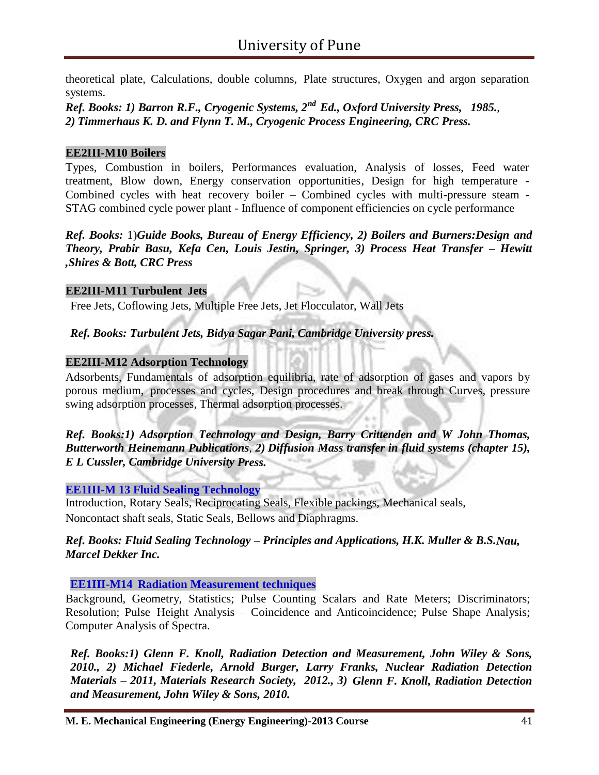theoretical plate, Calculations, double columns, Plate structures, Oxygen and argon separation systems.

*Ref. Books: 1) Barron R.F., Cryogenic Systems, 2 nd Ed., Oxford University Press, 1985.*, *2) Timmerhaus K. D. and Flynn T. M., Cryogenic Process Engineering, CRC Press.*

#### **EE2III-M10 Boilers**

Types, Combustion in boilers, Performances evaluation, Analysis of losses, Feed water treatment, Blow down, Energy conservation opportunities, Design for high temperature - Combined cycles with heat recovery boiler – Combined cycles with multi-pressure steam - STAG combined cycle power plant - Influence of component efficiencies on cycle performance

*Ref. Books:* 1)*Guide Books, Bureau of Energy Efficiency, 2) Boilers and Burners:Design and Theory, Prabir Basu, Kefa Cen, Louis Jestin, Springer, 3) Process Heat Transfer – Hewitt ,Shires & Bott, CRC Press*

#### **EE2III-M11 Turbulent Jets**

Free Jets, Coflowing Jets, Multiple Free Jets, Jet Flocculator, Wall Jets

*Ref. Books: Turbulent Jets, Bidya Sagar Pani, Cambridge University press.*

#### **EE2III-M12 Adsorption Technology**

Adsorbents, Fundamentals of adsorption equilibria, rate of adsorption of gases and vapors by porous medium, processes and cycles, Design procedures and break through Curves, pressure swing adsorption processes, Thermal adsorption processes.

*Ref. Books:1) Adsorption Technology and Design, Barry Crittenden and W John Thomas, Butterworth Heinemann Publications*, *2) Diffusion Mass transfer in fluid systems (chapter 15), E L Cussler, Cambridge University Press.*

#### **EE1III-M 13 Fluid Sealing Technology**

Introduction, Rotary Seals, Reciprocating Seals, Flexible packings, Mechanical seals, Noncontact shaft seals, Static Seals, Bellows and Diaphragms.

#### *Ref. Books: Fluid Sealing Technology – Principles and Applications, H.K. Muller & B.S.Nau, Marcel Dekker Inc.*

#### **EE1III-M14 Radiation Measurement techniques**

Background, Geometry, Statistics; Pulse Counting Scalars and Rate Meters; Discriminators; Resolution; Pulse Height Analysis – Coincidence and Anticoincidence; Pulse Shape Analysis; Computer Analysis of Spectra.

*Ref. Books:1) Glenn F. Knoll, Radiation Detection and Measurement, John Wiley & Sons, 2010., 2) Michael Fiederle, Arnold Burger, Larry Franks, Nuclear Radiation Detection Materials – 2011, Materials Research Society, 2012., 3) Glenn F. Knoll, Radiation Detection and Measurement, John Wiley & Sons, 2010.*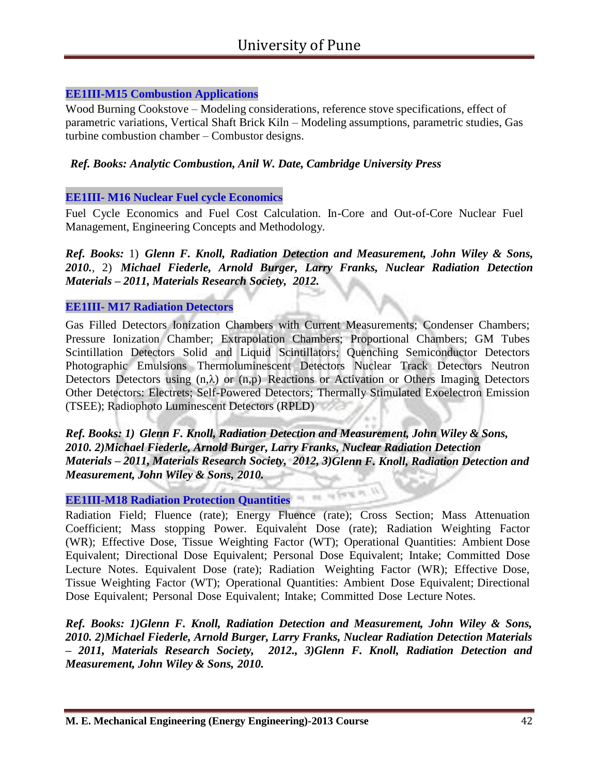#### **EE1III-M15 Combustion Applications**

Wood Burning Cookstove – Modeling considerations, reference stove specifications, effect of parametric variations, Vertical Shaft Brick Kiln – Modeling assumptions, parametric studies, Gas turbine combustion chamber – Combustor designs.

#### *Ref. Books: Analytic Combustion, Anil W. Date, Cambridge University Press*

#### **EE1III- M16 Nuclear Fuel cycle Economics**

Fuel Cycle Economics and Fuel Cost Calculation. In-Core and Out-of-Core Nuclear Fuel Management, Engineering Concepts and Methodology.

*Ref. Books:* 1) *Glenn F. Knoll, Radiation Detection and Measurement, John Wiley & Sons, 2010.*, 2) *Michael Fiederle, Arnold Burger, Larry Franks, Nuclear Radiation Detection Materials – 2011, Materials Research Society, 2012.*

#### **EE1III- M17 Radiation Detectors**

Gas Filled Detectors Ionization Chambers with Current Measurements; Condenser Chambers; Pressure Ionization Chamber; Extrapolation Chambers; Proportional Chambers; GM Tubes Scintillation Detectors Solid and Liquid Scintillators; Quenching Semiconductor Detectors Photographic Emulsions Thermoluminescent Detectors Nuclear Track Detectors Neutron Detectors Detectors using  $(n,\lambda)$  or  $(n,p)$  Reactions or Activation or Others Imaging Detectors Other Detectors: Electrets; Self-Powered Detectors; Thermally Stimulated Exoelectron Emission (TSEE); Radiophoto Luminescent Detectors (RPLD)

*Ref. Books: 1) Glenn F. Knoll, Radiation Detection and Measurement, John Wiley & Sons, 2010. 2)Michael Fiederle, Arnold Burger, Larry Franks, Nuclear Radiation Detection Materials – 2011, Materials Research Society, 2012, 3)Glenn F. Knoll, Radiation Detection and Measurement, John Wiley & Sons, 2010.*

of form in

#### **EE1III-M18 Radiation Protection Quantities**

Radiation Field; Fluence (rate); Energy Fluence (rate); Cross Section; Mass Attenuation Coefficient; Mass stopping Power. Equivalent Dose (rate); Radiation Weighting Factor (WR); Effective Dose, Tissue Weighting Factor (WT); Operational Quantities: Ambient Dose Equivalent; Directional Dose Equivalent; Personal Dose Equivalent; Intake; Committed Dose Lecture Notes. Equivalent Dose (rate); Radiation Weighting Factor (WR); Effective Dose, Tissue Weighting Factor (WT); Operational Quantities: Ambient Dose Equivalent; Directional Dose Equivalent; Personal Dose Equivalent; Intake; Committed Dose Lecture Notes.

*Ref. Books: 1)Glenn F. Knoll, Radiation Detection and Measurement, John Wiley & Sons, 2010. 2)Michael Fiederle, Arnold Burger, Larry Franks, Nuclear Radiation Detection Materials – 2011, Materials Research Society, 2012., 3)Glenn F. Knoll, Radiation Detection and Measurement, John Wiley & Sons, 2010.*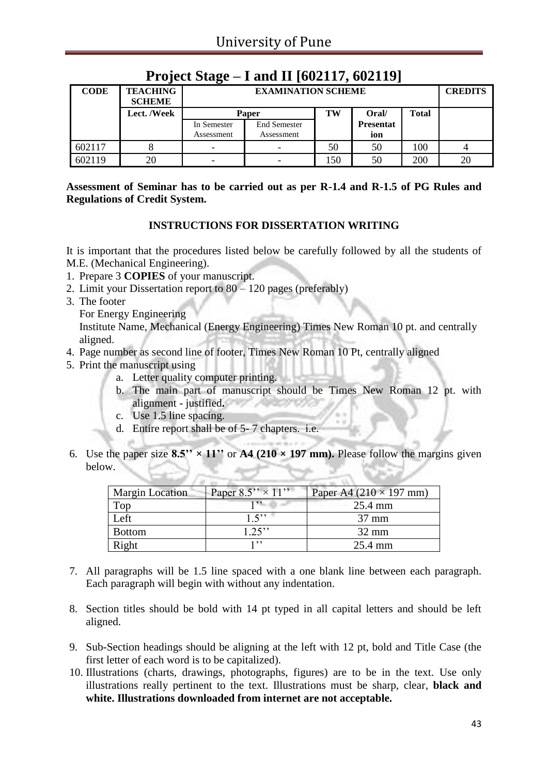| <b>CODE</b> | <b>TEACHING</b><br><b>SCHEME</b> |             | <b>EXAMINATION SCHEME</b>            |     |                  |     |    |  |
|-------------|----------------------------------|-------------|--------------------------------------|-----|------------------|-----|----|--|
|             | Lect. /Week                      |             | <b>Total</b><br>TW<br>Oral/<br>Paper |     |                  |     |    |  |
|             |                                  | In Semester | <b>End Semester</b>                  |     | <b>Presentat</b> |     |    |  |
|             |                                  | Assessment  | Assessment                           |     | ion              |     |    |  |
| 602117      | O                                | ۰           | -                                    | 50  | 50               | 100 |    |  |
| 602119      | 20                               | ۰           | -                                    | 150 | 50               | 200 | 20 |  |

### **Project Stage – I and II [602117, 602119]**

**Assessment of Seminar has to be carried out as per R-1.4 and R-1.5 of PG Rules and Regulations of Credit System.**

#### **INSTRUCTIONS FOR DISSERTATION WRITING**

It is important that the procedures listed below be carefully followed by all the students of M.E. (Mechanical Engineering).

- 1. Prepare 3 **COPIES** of your manuscript.
- 2. Limit your Dissertation report to 80 120 pages (preferably)
- 3. The footer
	- For Energy Engineering

Institute Name, Mechanical (Energy Engineering) Times New Roman 10 pt. and centrally aligned.

- 4. Page number as second line of footer, Times New Roman 10 Pt, centrally aligned
- 5. Print the manuscript using
	- a. Letter quality computer printing.
	- b. The main part of manuscript should be Times New Roman 12 pt. with alignment - justified**.**
	- c. Use 1.5 line spacing.
	- d. Entire report shall be of 5- 7 chapters. i.e.
- 6. Use the paper size  $8.5'' \times 11''$  or  $A4$  (210  $\times$  197 mm). Please follow the margins given below.

| <b>Margin Location</b> | Paper $8.5$ " $\times$ 11" | Paper A4 $(210 \times 197$ mm) |
|------------------------|----------------------------|--------------------------------|
| Top                    | 1, 2                       | $25.4 \text{ mm}$              |
| Left                   | 1.5                        | $37 \text{ mm}$                |
| <b>Bottom</b>          | $1.25$ "                   | $32 \text{ mm}$                |
| Right                  | 1, 2, 3                    | 25.4 mm                        |

- 7. All paragraphs will be 1.5 line spaced with a one blank line between each paragraph. Each paragraph will begin with without any indentation.
- 8. Section titles should be bold with 14 pt typed in all capital letters and should be left aligned.
- 9. Sub-Section headings should be aligning at the left with 12 pt, bold and Title Case (the first letter of each word is to be capitalized).
- 10. Illustrations (charts, drawings, photographs, figures) are to be in the text. Use only illustrations really pertinent to the text. Illustrations must be sharp, clear, **black and white. Illustrations downloaded from internet are not acceptable.**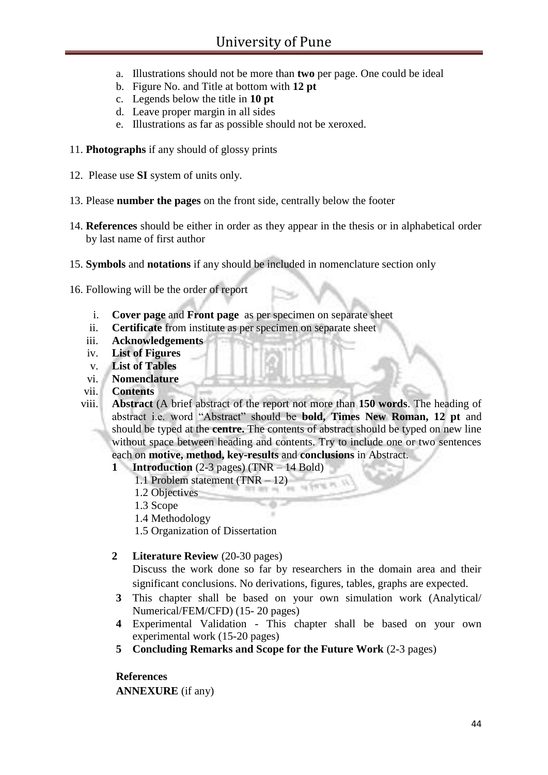- a. Illustrations should not be more than **two** per page. One could be ideal
- b. Figure No. and Title at bottom with **12 pt**
- c. Legends below the title in **10 pt**
- d. Leave proper margin in all sides
- e. Illustrations as far as possible should not be xeroxed.
- 11. **Photographs** if any should of glossy prints
- 12. Please use **SI** system of units only.
- 13. Please **number the pages** on the front side, centrally below the footer
- 14. **References** should be either in order as they appear in the thesis or in alphabetical order by last name of first author
- 15. **Symbols** and **notations** if any should be included in nomenclature section only
- 16. Following will be the order of report
	- i. **Cover page** and **Front page** as per specimen on separate sheet
	- ii. **Certificate** from institute as per specimen on separate sheet
	- iii. **Acknowledgements**
	- iv. **List of Figures**
	- v. **List of Tables**
	- vi. **Nomenclature**
	- vii. **Contents**
	- viii. **Abstract** (A brief abstract of the report not more than **150 words**. The heading of abstract i.e. word "Abstract" should be **bold, Times New Roman, 12 pt** and should be typed at the **centre.** The contents of abstract should be typed on new line without space between heading and contents. Try to include one or two sentences each on **motive, method, key-results** and **conclusions** in Abstract.
		- **1 Introduction** (2-3 pages) (TNR 14 Bold)
			- 1.1 Problem statement (TNR 12)
			- 1.2 Objectives
			- 1.3 Scope
			- 1.4 Methodology
			- 1.5 Organization of Dissertation
		- **2 Literature Review** (20-30 pages)

Discuss the work done so far by researchers in the domain area and their significant conclusions. No derivations, figures, tables, graphs are expected.

- **3** This chapter shall be based on your own simulation work (Analytical/ Numerical/FEM/CFD) (15- 20 pages)
- **4** Experimental Validation This chapter shall be based on your own experimental work (15-20 pages)
- **5 Concluding Remarks and Scope for the Future Work** (2-3 pages)

#### **References**

**ANNEXURE** (if any)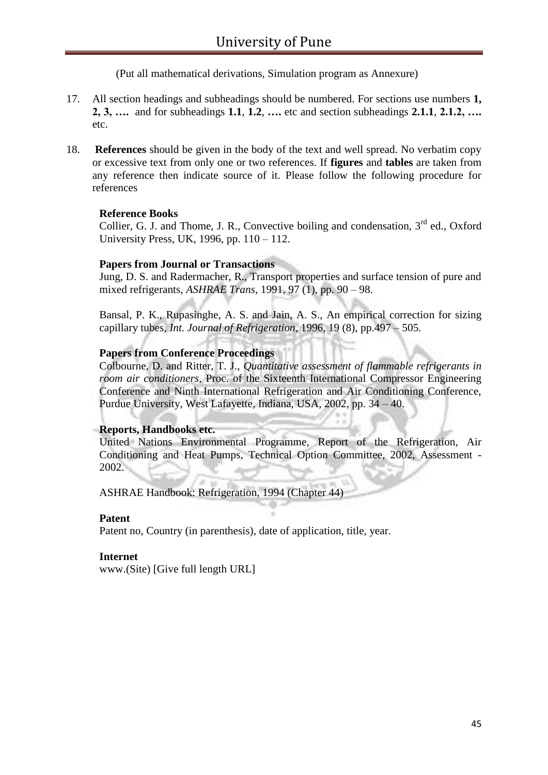(Put all mathematical derivations, Simulation program as Annexure)

- 17. All section headings and subheadings should be numbered. For sections use numbers **1, 2, 3, ….** and for subheadings **1.1**, **1.2**, **….** etc and section subheadings **2.1.1**, **2.1.2, ….**  etc.
- 18. **References** should be given in the body of the text and well spread. No verbatim copy or excessive text from only one or two references. If **figures** and **tables** are taken from any reference then indicate source of it. Please follow the following procedure for references

#### **Reference Books**

Collier, G. J. and Thome, J. R., Convective boiling and condensation, 3<sup>rd</sup> ed., Oxford University Press, UK, 1996, pp. 110 – 112.

#### **Papers from Journal or Transactions**

Jung, D. S. and Radermacher, R., Transport properties and surface tension of pure and mixed refrigerants, *ASHRAE Trans*, 1991, 97 (1), pp. 90 – 98.

Bansal, P. K., Rupasinghe, A. S. and Jain, A. S., An empirical correction for sizing capillary tubes, *Int. Journal of Refrigeration*, 1996, 19 (8), pp.497 – 505.

#### **Papers from Conference Proceedings**

Colbourne, D. and Ritter, T. J., *Quantitative assessment of flammable refrigerants in room air conditioners*, Proc. of the Sixteenth International Compressor Engineering Conference and Ninth International Refrigeration and Air Conditioning Conference, Purdue University, West Lafayette, Indiana, USA, 2002, pp. 34 – 40.

#### **Reports, Handbooks etc.**

United Nations Environmental Programme, Report of the Refrigeration, Air Conditioning and Heat Pumps, Technical Option Committee, 2002, Assessment - 2002.

ASHRAE Handbook: Refrigeration, 1994 (Chapter 44)

#### **Patent**

Patent no, Country (in parenthesis), date of application, title, year.

#### **Internet**

www.(Site) [Give full length URL]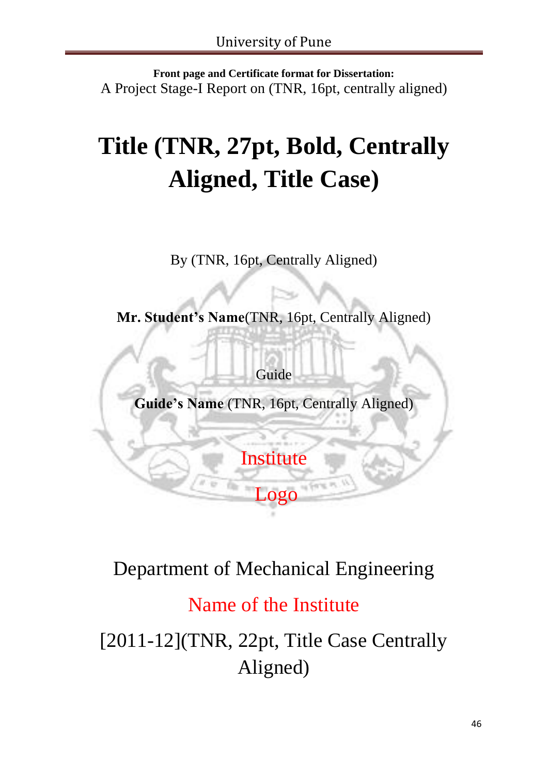**Front page and Certificate format for Dissertation:** A Project Stage-I Report on (TNR, 16pt, centrally aligned)

# **Title (TNR, 27pt, Bold, Centrally Aligned, Title Case)**

By (TNR, 16pt, Centrally Aligned)

**Mr. Student's Name**(TNR, 16pt, Centrally Aligned)

Guide

**Guide's Name** (TNR, 16pt, Centrally Aligned)

**Institute** 

 $\Omega$ 

# Department of Mechanical Engineering

Name of the Institute

[2011-12](TNR, 22pt, Title Case Centrally Aligned)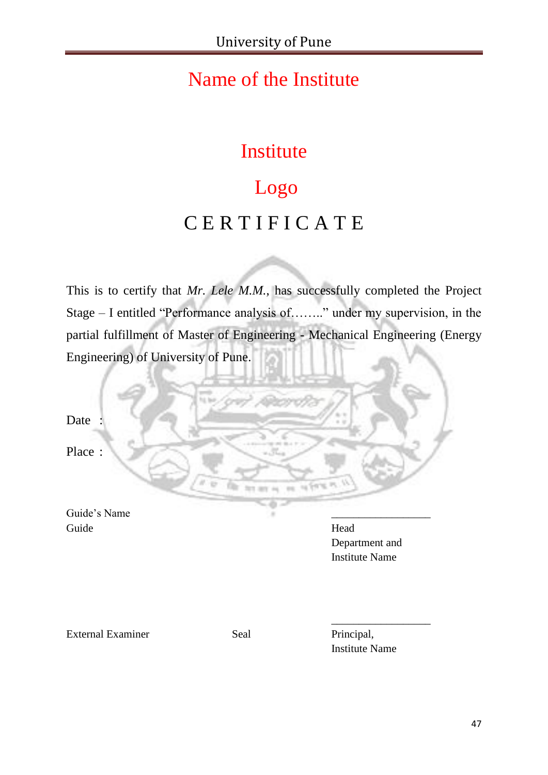# Name of the Institute

# Institute

# Logo C E R T I F I C A T E

This is to certify that *Mr. Lele M.M.*, has successfully completed the Project Stage – I entitled "Performance analysis of…….." under my supervision, in the partial fulfillment of Master of Engineering - Mechanical Engineering (Energy Engineering) of University of Pune.

Date : Place :

Guide's Name Guide Head

Department and Institute Name

External Examiner Seal Principal,

Institute Name

\_\_\_\_\_\_\_\_\_\_\_\_\_\_\_\_\_\_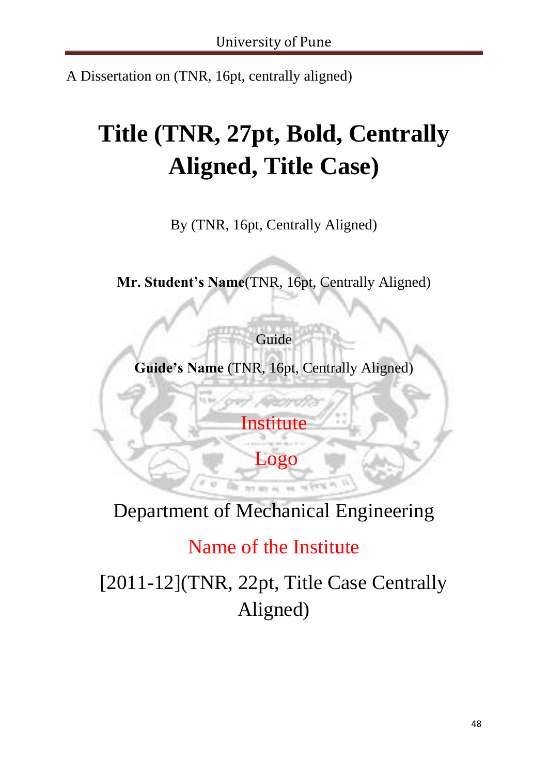A Dissertation on (TNR, 16pt, centrally aligned)

# **Title (TNR, 27pt, Bold, Centrally Aligned, Title Case)**

By (TNR, 16pt, Centrally Aligned)

**Mr. Student's Name**(TNR, 16pt, Centrally Aligned)

Guide **Guide's Name** (TNR, 16pt, Centrally Aligned)

**Institute** 

Logo

Department of Mechanical Engineering

Name of the Institute

[2011-12](TNR, 22pt, Title Case Centrally Aligned)